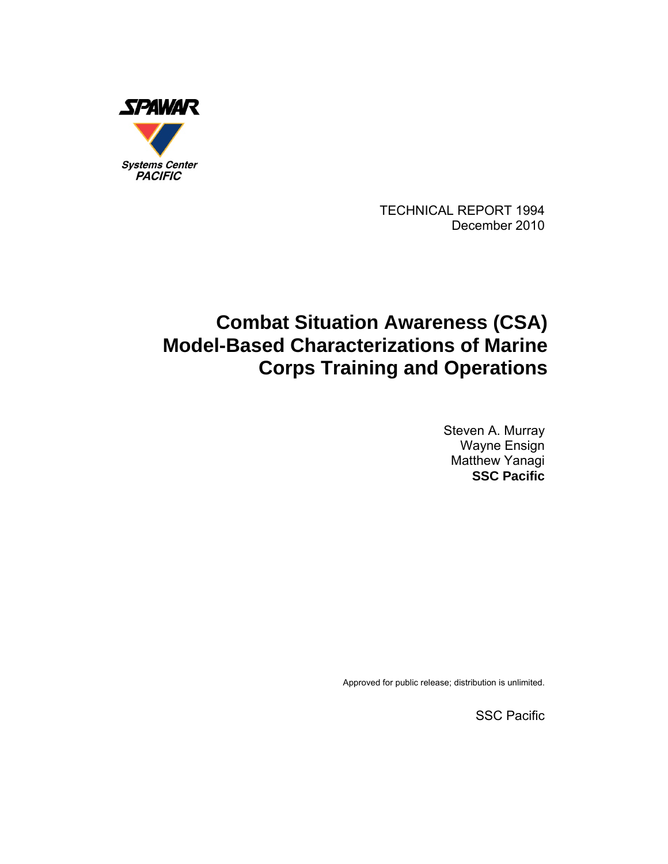

TECHNICAL REPORT 1994 December 2010

# **Combat Situation Awareness (CSA) Model-Based Characterizations of Marine Corps Training and Operations**

Steven A. Murray Wayne Ensign Matthew Yanagi **SSC Pacific** 

Approved for public release; distribution is unlimited.

SSC Pacific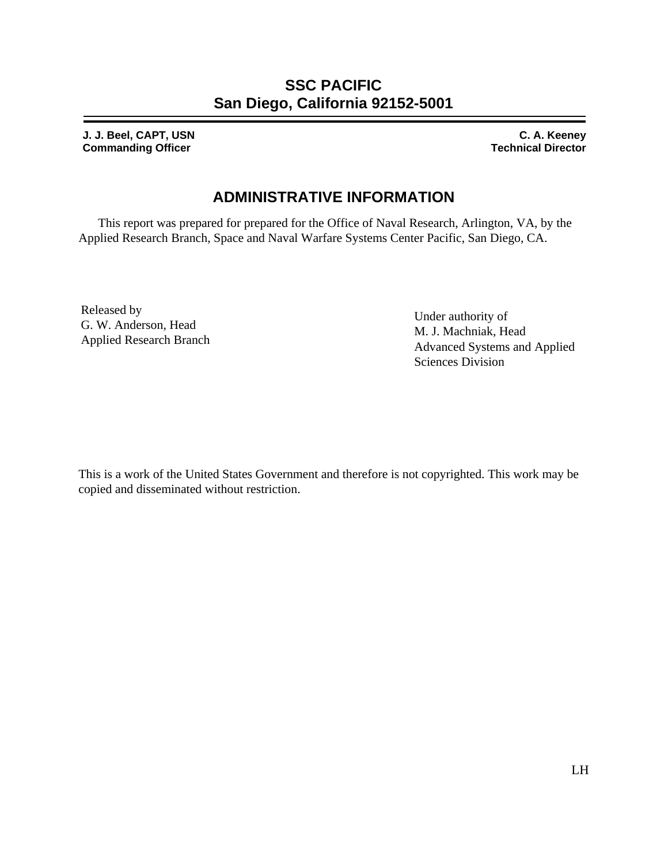## **SSC PACIFIC San Diego, California 92152-5001**

**J. J. Beel, CAPT, USN Commanding Officer** 

**C. A. Keeney Technical Director**

## **ADMINISTRATIVE INFORMATION**

This report was prepared for prepared for the Office of Naval Research, Arlington, VA, by the Applied Research Branch, Space and Naval Warfare Systems Center Pacific, San Diego, CA.

Released by G. W. Anderson, Head Applied Research Branch

Under authority of M. J. Machniak, Head Advanced Systems and Applied Sciences Division

This is a work of the United States Government and therefore is not copyrighted. This work may be copied and disseminated without restriction.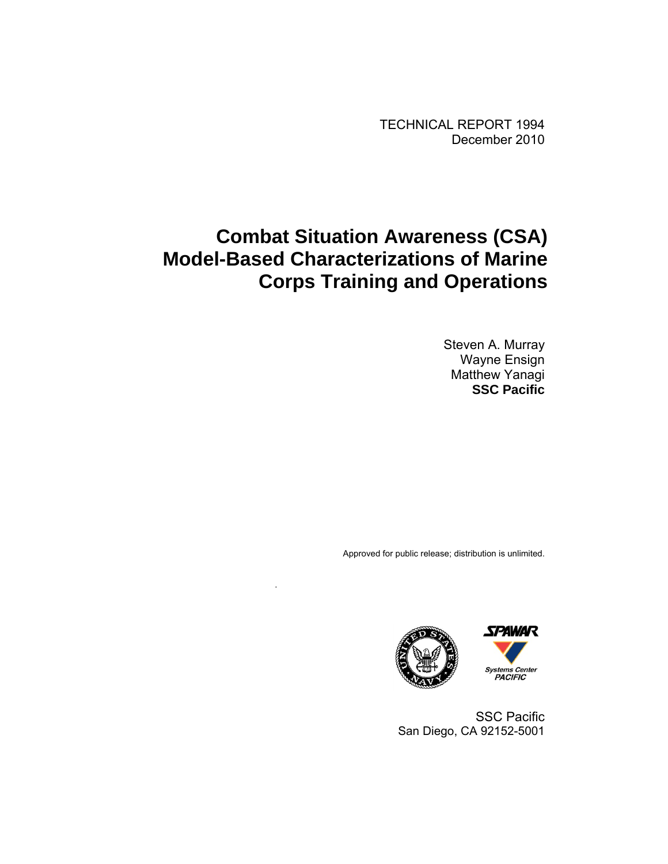TECHNICAL REPORT 1994 December 2010

# **Combat Situation Awareness (CSA) Model-Based Characterizations of Marine Corps Training and Operations**

.

Steven A. Murray Wayne Ensign Matthew Yanagi **SSC Pacific** 

Approved for public release; distribution is unlimited.





SSC Pacific San Diego, CA 92152-5001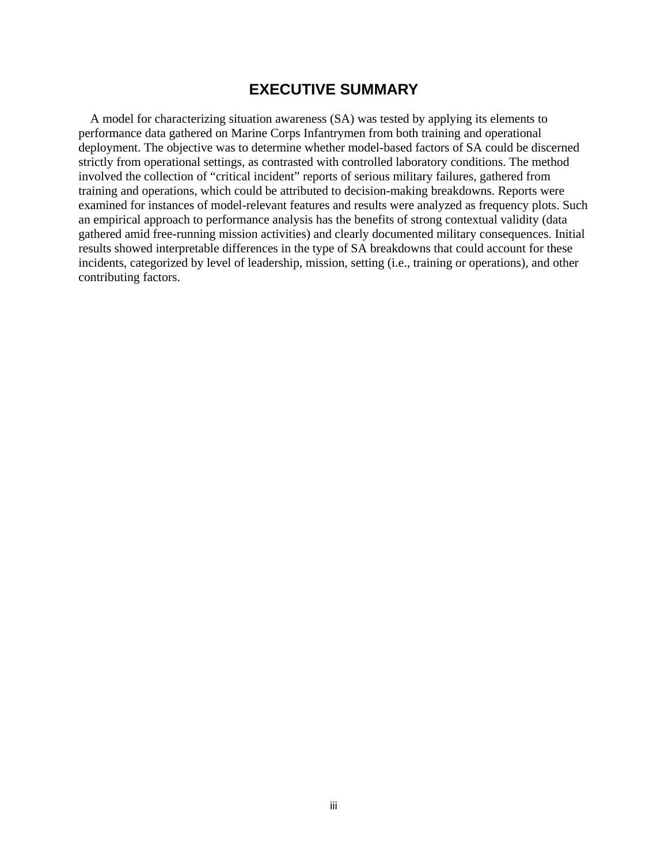### **EXECUTIVE SUMMARY**

<span id="page-3-0"></span>A model for characterizing situation awareness (SA) was tested by applying its elements to performance data gathered on Marine Corps Infantrymen from both training and operational deployment. The objective was to determine whether model-based factors of SA could be discerned strictly from operational settings, as contrasted with controlled laboratory conditions. The method involved the collection of "critical incident" reports of serious military failures, gathered from training and operations, which could be attributed to decision-making breakdowns. Reports were examined for instances of model-relevant features and results were analyzed as frequency plots. Such an empirical approach to performance analysis has the benefits of strong contextual validity (data gathered amid free-running mission activities) and clearly documented military consequences. Initial results showed interpretable differences in the type of SA breakdowns that could account for these incidents, categorized by level of leadership, mission, setting (i.e., training or operations), and other contributing factors.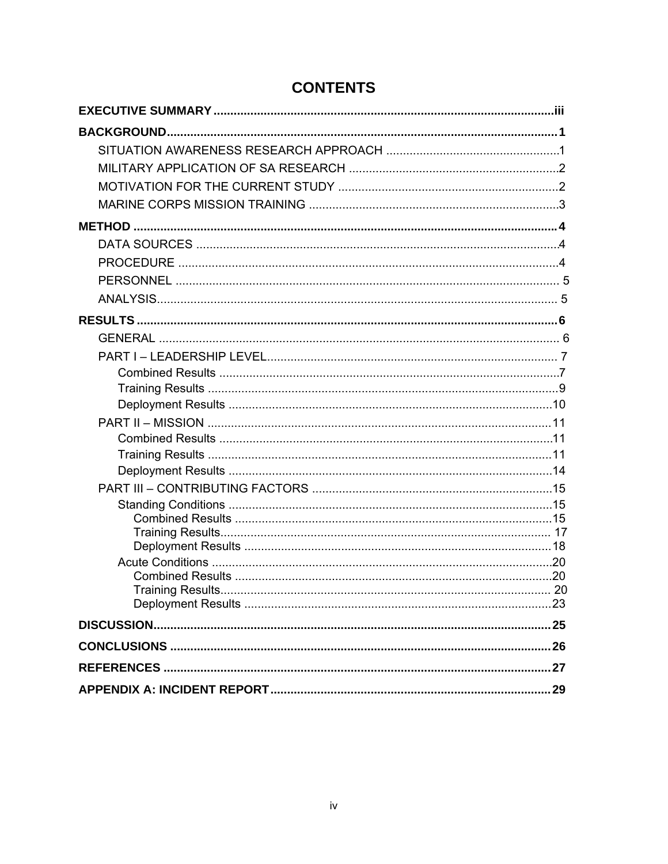| <b>Training Results.</b> |  |
|--------------------------|--|
|                          |  |
|                          |  |
|                          |  |
|                          |  |
|                          |  |

## **CONTENTS**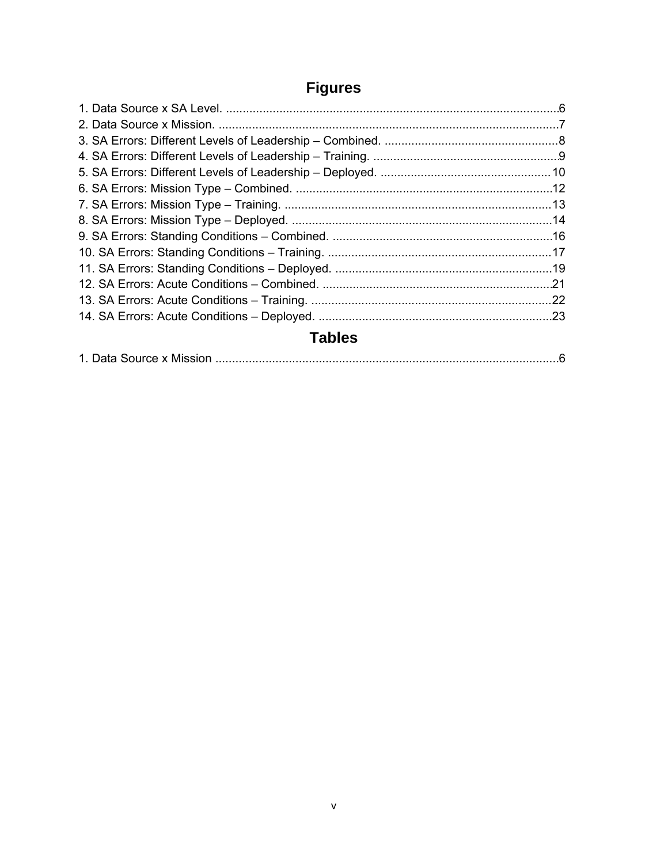# **Figures**

| <b>Tables</b> |  |
|---------------|--|

|--|--|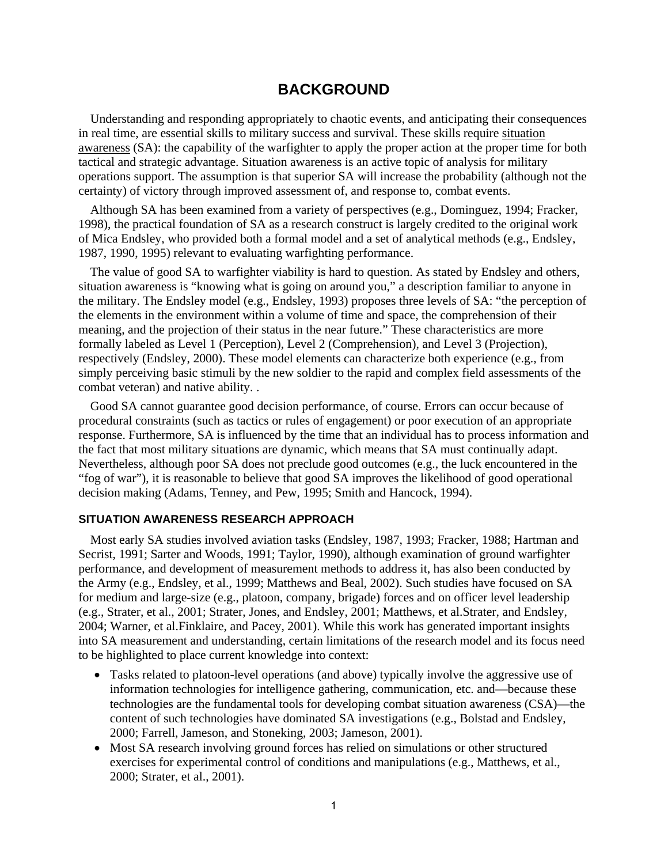### **BACKGROUND**

<span id="page-6-0"></span>Understanding and responding appropriately to chaotic events, and anticipating their consequences in real time, are essential skills to military success and survival. These skills require situation awareness (SA): the capability of the warfighter to apply the proper action at the proper time for both tactical and strategic advantage. Situation awareness is an active topic of analysis for military operations support. The assumption is that superior SA will increase the probability (although not the certainty) of victory through improved assessment of, and response to, combat events.

Although SA has been examined from a variety of perspectives (e.g., Dominguez, 1994; Fracker, 1998), the practical foundation of SA as a research construct is largely credited to the original work of Mica Endsley, who provided both a formal model and a set of analytical methods (e.g., Endsley, 1987, 1990, 1995) relevant to evaluating warfighting performance.

The value of good SA to warfighter viability is hard to question. As stated by Endsley and others, situation awareness is "knowing what is going on around you," a description familiar to anyone in the military. The Endsley model (e.g., Endsley, 1993) proposes three levels of SA: "the perception of the elements in the environment within a volume of time and space, the comprehension of their meaning, and the projection of their status in the near future." These characteristics are more formally labeled as Level 1 (Perception), Level 2 (Comprehension), and Level 3 (Projection), respectively (Endsley, 2000). These model elements can characterize both experience (e.g., from simply perceiving basic stimuli by the new soldier to the rapid and complex field assessments of the combat veteran) and native ability. .

Good SA cannot guarantee good decision performance, of course. Errors can occur because of procedural constraints (such as tactics or rules of engagement) or poor execution of an appropriate response. Furthermore, SA is influenced by the time that an individual has to process information and the fact that most military situations are dynamic, which means that SA must continually adapt. Nevertheless, although poor SA does not preclude good outcomes (e.g., the luck encountered in the "fog of war"), it is reasonable to believe that good SA improves the likelihood of good operational decision making (Adams, Tenney, and Pew, 1995; Smith and Hancock, 1994).

#### **SITUATION AWARENESS RESEARCH APPROACH**

Most early SA studies involved aviation tasks (Endsley, 1987, 1993; Fracker, 1988; Hartman and Secrist, 1991; Sarter and Woods, 1991; Taylor, 1990), although examination of ground warfighter performance, and development of measurement methods to address it, has also been conducted by the Army (e.g., Endsley, et al., 1999; Matthews and Beal, 2002). Such studies have focused on SA for medium and large-size (e.g., platoon, company, brigade) forces and on officer level leadership (e.g., Strater, et al., 2001; Strater, Jones, and Endsley, 2001; Matthews, et al.Strater, and Endsley, 2004; Warner, et al.Finklaire, and Pacey, 2001). While this work has generated important insights into SA measurement and understanding, certain limitations of the research model and its focus need to be highlighted to place current knowledge into context:

- Tasks related to platoon-level operations (and above) typically involve the aggressive use of information technologies for intelligence gathering, communication, etc. and—because these technologies are the fundamental tools for developing combat situation awareness (CSA)—the content of such technologies have dominated SA investigations (e.g., Bolstad and Endsley, 2000; Farrell, Jameson, and Stoneking, 2003; Jameson, 2001).
- Most SA research involving ground forces has relied on simulations or other structured exercises for experimental control of conditions and manipulations (e.g., Matthews, et al., 2000; Strater, et al., 2001).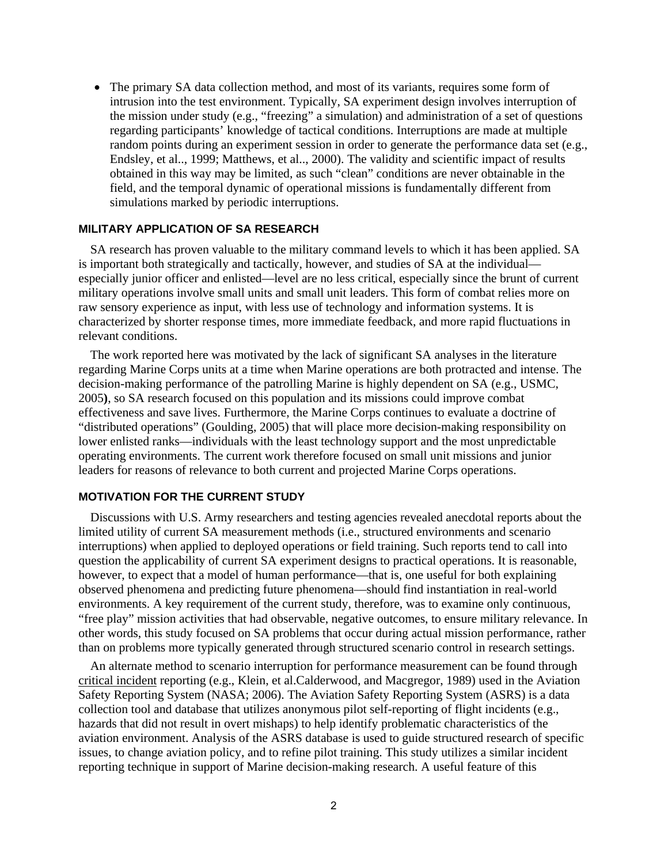<span id="page-7-0"></span>• The primary SA data collection method, and most of its variants, requires some form of intrusion into the test environment. Typically, SA experiment design involves interruption of the mission under study (e.g., "freezing" a simulation) and administration of a set of questions regarding participants' knowledge of tactical conditions. Interruptions are made at multiple random points during an experiment session in order to generate the performance data set (e.g., Endsley, et al.., 1999; Matthews, et al.., 2000). The validity and scientific impact of results obtained in this way may be limited, as such "clean" conditions are never obtainable in the field, and the temporal dynamic of operational missions is fundamentally different from simulations marked by periodic interruptions.

#### **MILITARY APPLICATION OF SA RESEARCH**

SA research has proven valuable to the military command levels to which it has been applied. SA is important both strategically and tactically, however, and studies of SA at the individual especially junior officer and enlisted—level are no less critical, especially since the brunt of current military operations involve small units and small unit leaders. This form of combat relies more on raw sensory experience as input, with less use of technology and information systems. It is characterized by shorter response times, more immediate feedback, and more rapid fluctuations in relevant conditions.

The work reported here was motivated by the lack of significant SA analyses in the literature regarding Marine Corps units at a time when Marine operations are both protracted and intense. The decision-making performance of the patrolling Marine is highly dependent on SA (e.g., USMC, 2005**)**, so SA research focused on this population and its missions could improve combat effectiveness and save lives. Furthermore, the Marine Corps continues to evaluate a doctrine of "distributed operations" (Goulding, 2005) that will place more decision-making responsibility on lower enlisted ranks—individuals with the least technology support and the most unpredictable operating environments. The current work therefore focused on small unit missions and junior leaders for reasons of relevance to both current and projected Marine Corps operations.

#### **MOTIVATION FOR THE CURRENT STUDY**

Discussions with U.S. Army researchers and testing agencies revealed anecdotal reports about the limited utility of current SA measurement methods (i.e., structured environments and scenario interruptions) when applied to deployed operations or field training. Such reports tend to call into question the applicability of current SA experiment designs to practical operations. It is reasonable, however, to expect that a model of human performance—that is, one useful for both explaining observed phenomena and predicting future phenomena—should find instantiation in real-world environments. A key requirement of the current study, therefore, was to examine only continuous, "free play" mission activities that had observable, negative outcomes, to ensure military relevance. In other words, this study focused on SA problems that occur during actual mission performance, rather than on problems more typically generated through structured scenario control in research settings.

An alternate method to scenario interruption for performance measurement can be found through critical incident reporting (e.g., Klein, et al.Calderwood, and Macgregor, 1989) used in the Aviation Safety Reporting System (NASA; 2006). The Aviation Safety Reporting System (ASRS) is a data collection tool and database that utilizes anonymous pilot self-reporting of flight incidents (e.g., hazards that did not result in overt mishaps) to help identify problematic characteristics of the aviation environment. Analysis of the ASRS database is used to guide structured research of specific issues, to change aviation policy, and to refine pilot training. This study utilizes a similar incident reporting technique in support of Marine decision-making research. A useful feature of this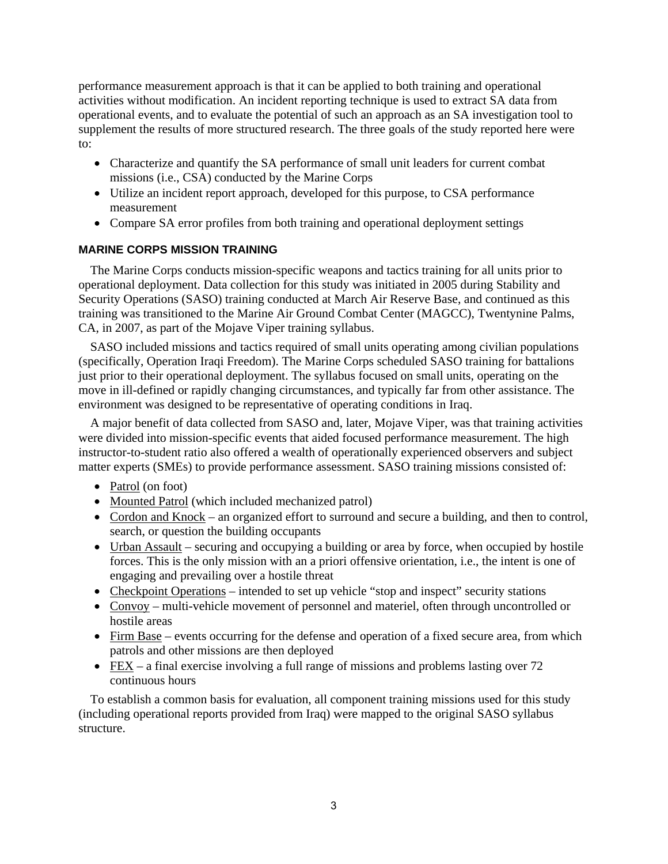<span id="page-8-0"></span>performance measurement approach is that it can be applied to both training and operational activities without modification. An incident reporting technique is used to extract SA data from operational events, and to evaluate the potential of such an approach as an SA investigation tool to supplement the results of more structured research. The three goals of the study reported here were to:

- Characterize and quantify the SA performance of small unit leaders for current combat missions (i.e., CSA) conducted by the Marine Corps
- Utilize an incident report approach, developed for this purpose, to CSA performance measurement
- Compare SA error profiles from both training and operational deployment settings

#### **MARINE CORPS MISSION TRAINING**

The Marine Corps conducts mission-specific weapons and tactics training for all units prior to operational deployment. Data collection for this study was initiated in 2005 during Stability and Security Operations (SASO) training conducted at March Air Reserve Base, and continued as this training was transitioned to the Marine Air Ground Combat Center (MAGCC), Twentynine Palms, CA, in 2007, as part of the Mojave Viper training syllabus.

SASO included missions and tactics required of small units operating among civilian populations (specifically, Operation Iraqi Freedom). The Marine Corps scheduled SASO training for battalions just prior to their operational deployment. The syllabus focused on small units, operating on the move in ill-defined or rapidly changing circumstances, and typically far from other assistance. The environment was designed to be representative of operating conditions in Iraq.

A major benefit of data collected from SASO and, later, Mojave Viper, was that training activities were divided into mission-specific events that aided focused performance measurement. The high instructor-to-student ratio also offered a wealth of operationally experienced observers and subject matter experts (SMEs) to provide performance assessment. SASO training missions consisted of:

- Patrol (on foot)
- Mounted Patrol (which included mechanized patrol)
- Cordon and Knock an organized effort to surround and secure a building, and then to control, search, or question the building occupants
- Urban Assault securing and occupying a building or area by force, when occupied by hostile forces. This is the only mission with an a priori offensive orientation, i.e., the intent is one of engaging and prevailing over a hostile threat
- Checkpoint Operations intended to set up vehicle "stop and inspect" security stations
- Convoy multi-vehicle movement of personnel and materiel, often through uncontrolled or hostile areas
- Firm Base events occurring for the defense and operation of a fixed secure area, from which patrols and other missions are then deployed
- FEX a final exercise involving a full range of missions and problems lasting over  $72$ continuous hours

To establish a common basis for evaluation, all component training missions used for this study (including operational reports provided from Iraq) were mapped to the original SASO syllabus structure.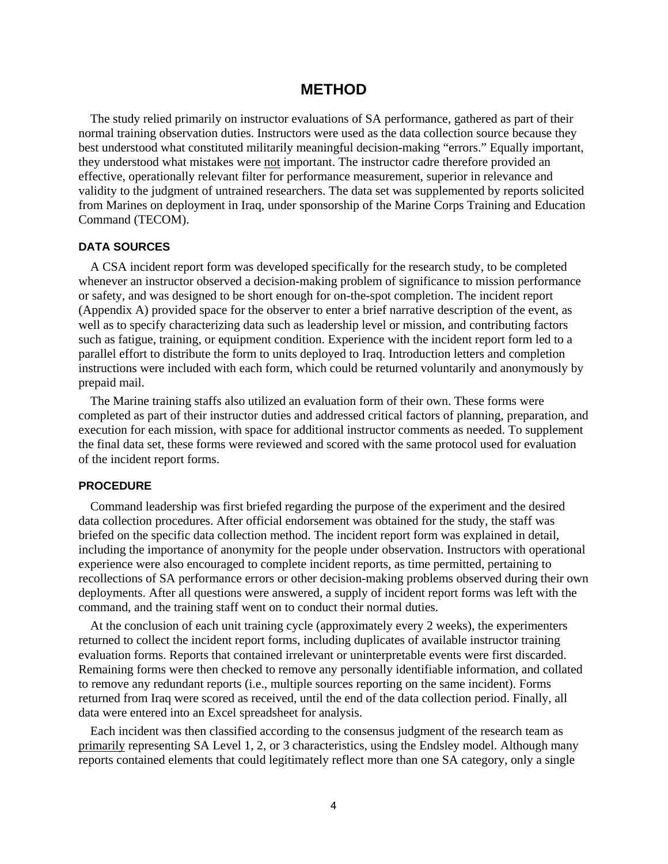### **METHOD**

<span id="page-9-0"></span>The study relied primarily on instructor evaluations of SA performance, gathered as part of their normal training observation duties. Instructors were used as the data collection source because they best understood what constituted militarily meaningful decision-making "errors." Equally important, they understood what mistakes were not important. The instructor cadre therefore provided an effective, operationally relevant filter for performance measurement, superior in relevance and validity to the judgment of untrained researchers. The data set was supplemented by reports solicited from Marines on deployment in Iraq, under sponsorship of the Marine Corps Training and Education Command (TECOM).

#### **DATA SOURCES**

A CSA incident report form was developed specifically for the research study, to be completed whenever an instructor observed a decision-making problem of significance to mission performance or safety, and was designed to be short enough for on-the-spot completion. The incident report (Appendix A) provided space for the observer to enter a brief narrative description of the event, as well as to specify characterizing data such as leadership level or mission, and contributing factors such as fatigue, training, or equipment condition. Experience with the incident report form led to a parallel effort to distribute the form to units deployed to Iraq. Introduction letters and completion instructions were included with each form, which could be returned voluntarily and anonymously by prepaid mail.

The Marine training staffs also utilized an evaluation form of their own. These forms were completed as part of their instructor duties and addressed critical factors of planning, preparation, and execution for each mission, with space for additional instructor comments as needed. To supplement the final data set, these forms were reviewed and scored with the same protocol used for evaluation of the incident report forms.

#### **PROCEDURE**

Command leadership was first briefed regarding the purpose of the experiment and the desired data collection procedures. After official endorsement was obtained for the study, the staff was briefed on the specific data collection method. The incident report form was explained in detail, including the importance of anonymity for the people under observation. Instructors with operational experience were also encouraged to complete incident reports, as time permitted, pertaining to recollections of SA performance errors or other decision-making problems observed during their own deployments. After all questions were answered, a supply of incident report forms was left with the command, and the training staff went on to conduct their normal duties.

At the conclusion of each unit training cycle (approximately every 2 weeks), the experimenters returned to collect the incident report forms, including duplicates of available instructor training evaluation forms. Reports that contained irrelevant or uninterpretable events were first discarded. Remaining forms were then checked to remove any personally identifiable information, and collated to remove any redundant reports (i.e., multiple sources reporting on the same incident). Forms returned from Iraq were scored as received, until the end of the data collection period. Finally, all data were entered into an Excel spreadsheet for analysis.

Each incident was then classified according to the consensus judgment of the research team as primarily representing SA Level 1, 2, or 3 characteristics, using the Endsley model. Although many reports contained elements that could legitimately reflect more than one SA category, only a single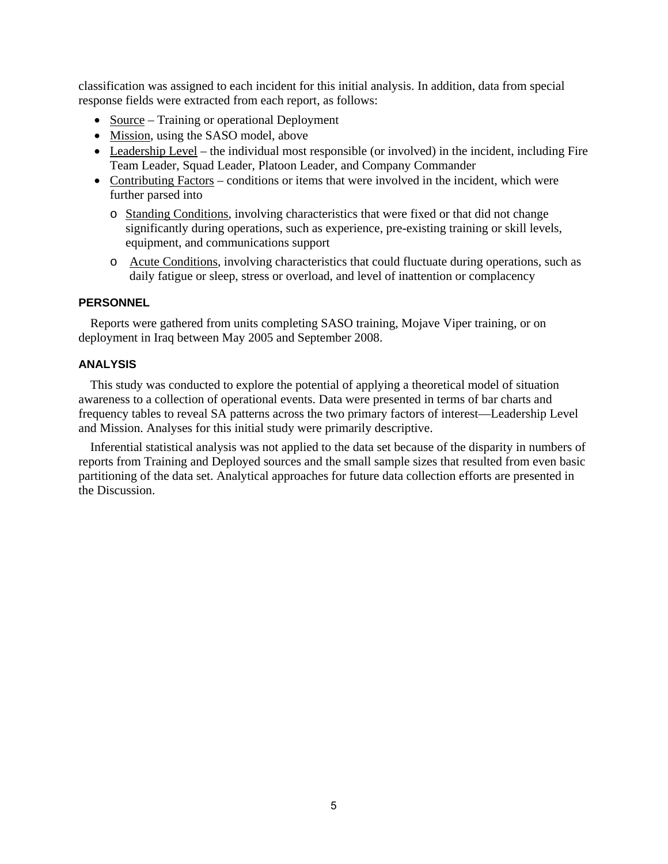<span id="page-10-0"></span>classification was assigned to each incident for this initial analysis. In addition, data from special response fields were extracted from each report, as follows:

- Source Training or operational Deployment
- Mission, using the SASO model, above
- Leadership Level the individual most responsible (or involved) in the incident, including Fire Team Leader, Squad Leader, Platoon Leader, and Company Commander
- Contributing Factors conditions or items that were involved in the incident, which were further parsed into
	- o Standing Conditions, involving characteristics that were fixed or that did not change significantly during operations, such as experience, pre-existing training or skill levels, equipment, and communications support
	- o Acute Conditions, involving characteristics that could fluctuate during operations, such as daily fatigue or sleep, stress or overload, and level of inattention or complacency

#### **PERSONNEL**

Reports were gathered from units completing SASO training, Mojave Viper training, or on deployment in Iraq between May 2005 and September 2008.

#### **ANALYSIS**

This study was conducted to explore the potential of applying a theoretical model of situation awareness to a collection of operational events. Data were presented in terms of bar charts and frequency tables to reveal SA patterns across the two primary factors of interest—Leadership Level and Mission. Analyses for this initial study were primarily descriptive.

Inferential statistical analysis was not applied to the data set because of the disparity in numbers of reports from Training and Deployed sources and the small sample sizes that resulted from even basic partitioning of the data set. Analytical approaches for future data collection efforts are presented in the Discussion.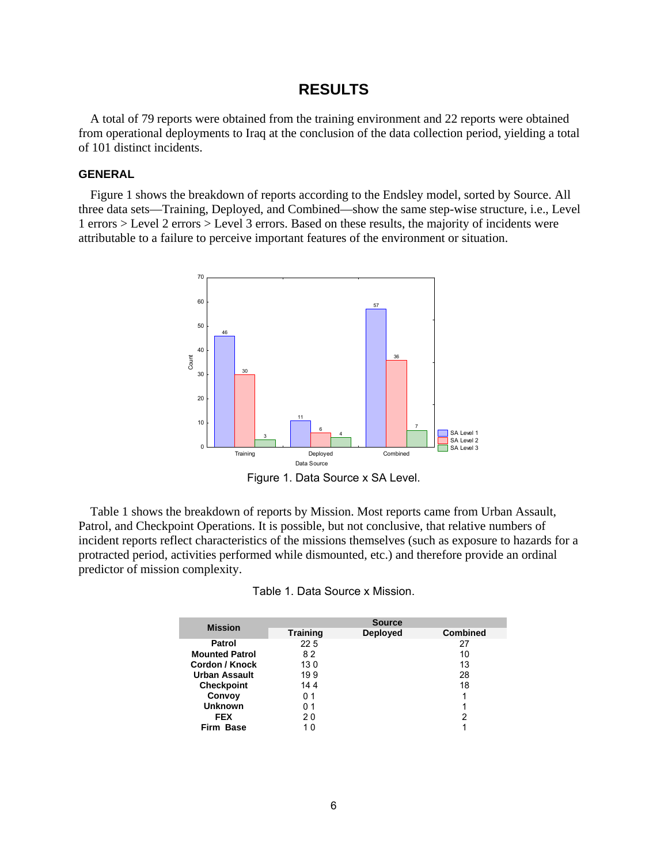### **RESULTS**

<span id="page-11-1"></span><span id="page-11-0"></span>A total of 79 reports were obtained from the training environment and 22 reports were obtained from operational deployments to Iraq at the conclusion of the data collection period, yielding a total of 101 distinct incidents.

#### **GENERAL**

Figure 1 shows the breakdown of reports according to the Endsley model, sorted by Source. All three data sets—Training, Deployed, and Combined—show the same step-wise structure, i.e., Level 1 errors > Level 2 errors > Level 3 errors. Based on these results, the majority of incidents were attributable to a failure to perceive important features of the environment or situation.



Figure 1. Data Source x SA Level.

Table 1 shows the breakdown of reports by Mission. Most reports came from Urban Assault, Patrol, and Checkpoint Operations. It is possible, but not conclusive, that relative numbers of incident reports reflect characteristics of the missions themselves (such as exposure to hazards for a protracted period, activities performed while dismounted, etc.) and therefore provide an ordinal predictor of mission complexity.

| <b>Mission</b>        | <b>Source</b>   |                 |                 |  |  |
|-----------------------|-----------------|-----------------|-----------------|--|--|
|                       | <b>Training</b> | <b>Deployed</b> | <b>Combined</b> |  |  |
| Patrol                | 22.5            |                 | 27              |  |  |
| <b>Mounted Patrol</b> | 82              |                 | 10              |  |  |
| Cordon / Knock        | 130             |                 | 13              |  |  |
| Urban Assault         | 199             |                 | 28              |  |  |
| <b>Checkpoint</b>     | 144             |                 | 18              |  |  |
| Convoy                | 01              |                 |                 |  |  |
| <b>Unknown</b>        | 01              |                 | 1               |  |  |
| <b>FEX</b>            | 20              |                 | 2               |  |  |
| Firm Base             | 10              |                 |                 |  |  |
|                       |                 |                 |                 |  |  |

| Table 1. Data Source x Mission. |  |
|---------------------------------|--|
|---------------------------------|--|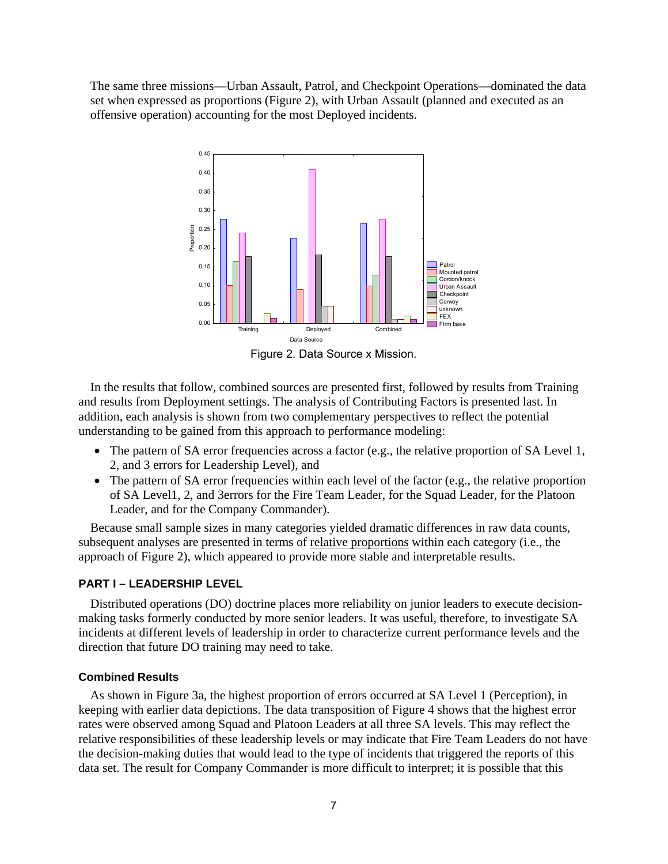<span id="page-12-0"></span>The same three missions—Urban Assault, Patrol, and Checkpoint Operations—dominated the data set when expressed as proportions (Figure 2), with Urban Assault (planned and executed as an offensive operation) accounting for the most Deployed incidents.



Figure 2. Data Source x Mission.

In the results that follow, combined sources are presented first, followed by results from Training and results from Deployment settings. The analysis of Contributing Factors is presented last. In addition, each analysis is shown from two complementary perspectives to reflect the potential understanding to be gained from this approach to performance modeling:

- The pattern of SA error frequencies across a factor (e.g., the relative proportion of SA Level 1, 2, and 3 errors for Leadership Level), and
- The pattern of SA error frequencies within each level of the factor (e.g., the relative proportion of SA Level1, 2, and 3errors for the Fire Team Leader, for the Squad Leader, for the Platoon Leader, and for the Company Commander).

Because small sample sizes in many categories yielded dramatic differences in raw data counts, subsequent analyses are presented in terms of relative proportions within each category (i.e., the approach of Figure 2), which appeared to provide more stable and interpretable results.

#### **PART I – LEADERSHIP LEVEL**

Distributed operations (DO) doctrine places more reliability on junior leaders to execute decisionmaking tasks formerly conducted by more senior leaders. It was useful, therefore, to investigate SA incidents at different levels of leadership in order to characterize current performance levels and the direction that future DO training may need to take.

#### **Combined Results**

As shown in [Figure 3a,](#page-13-1) the highest proportion of errors occurred at SA Level 1 (Perception), in keeping with earlier data depictions. The data transposition of [Figure 4](#page-14-1) shows that the highest error rates were observed among Squad and Platoon Leaders at all three SA levels. This may reflect the relative responsibilities of these leadership levels or may indicate that Fire Team Leaders do not have the decision-making duties that would lead to the type of incidents that triggered the reports of this data set. The result for Company Commander is more difficult to interpret; it is possible that this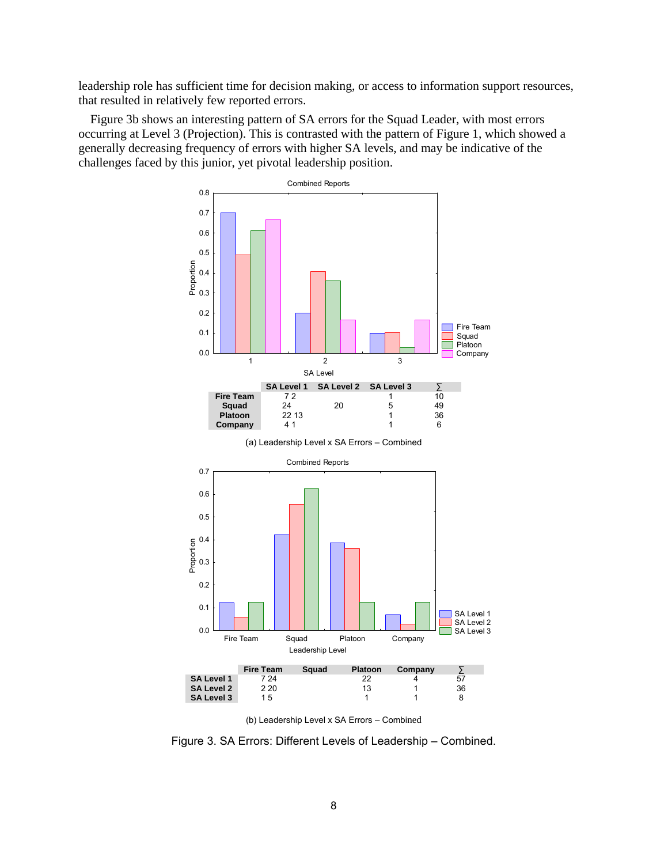<span id="page-13-1"></span><span id="page-13-0"></span>leadership role has sufficient time for decision making, or access to information support resources, that resulted in relatively few reported errors.

Figure 3b shows an interesting pattern of SA errors for the Squad Leader, with most errors occurring at Level 3 (Projection). This is contrasted with the pattern of Figure 1, which showed a generally decreasing frequency of errors with higher SA levels, and may be indicative of the challenges faced by this junior, yet pivotal leadership position.



(b) Leadership Level x SA Errors – Combined

Figure 3. SA Errors: Different Levels of Leadership – Combined.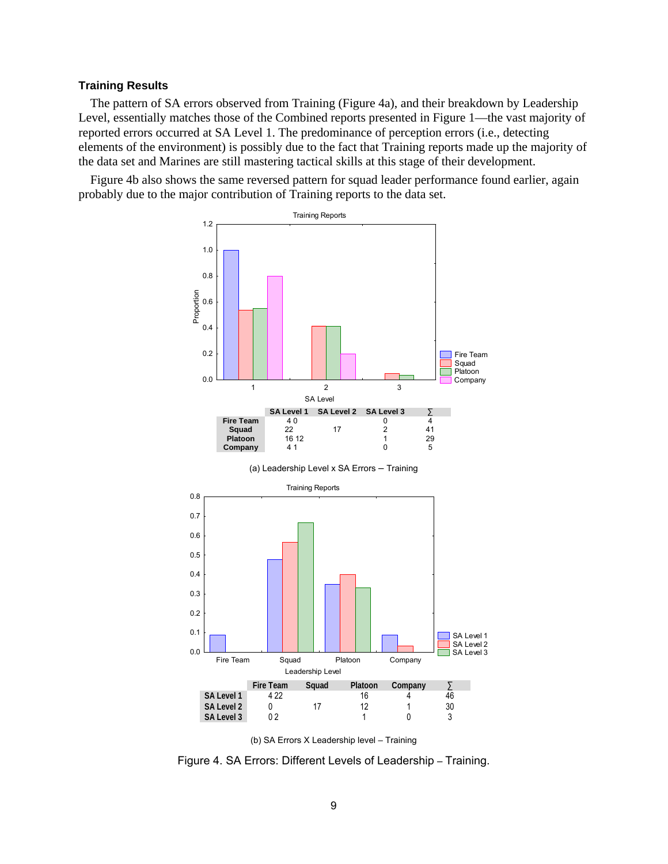#### <span id="page-14-1"></span><span id="page-14-0"></span>**Training Results**

The pattern of SA errors observed from Training (Figure 4a), and their breakdown by Leadership Level, essentially matches those of the Combined reports presented in [Figure 1](#page-11-1)—the vast majority of reported errors occurred at SA Level 1. The predominance of perception errors (i.e., detecting elements of the environment) is possibly due to the fact that Training reports made up the majority of the data set and Marines are still mastering tactical skills at this stage of their development.

Figure 4b also shows the same reversed pattern for squad leader performance found earlier, again probably due to the major contribution of Training reports to the data set.



(b) SA Errors X Leadership level – Training

Figure 4. SA Errors: Different Levels of Leadership – Training.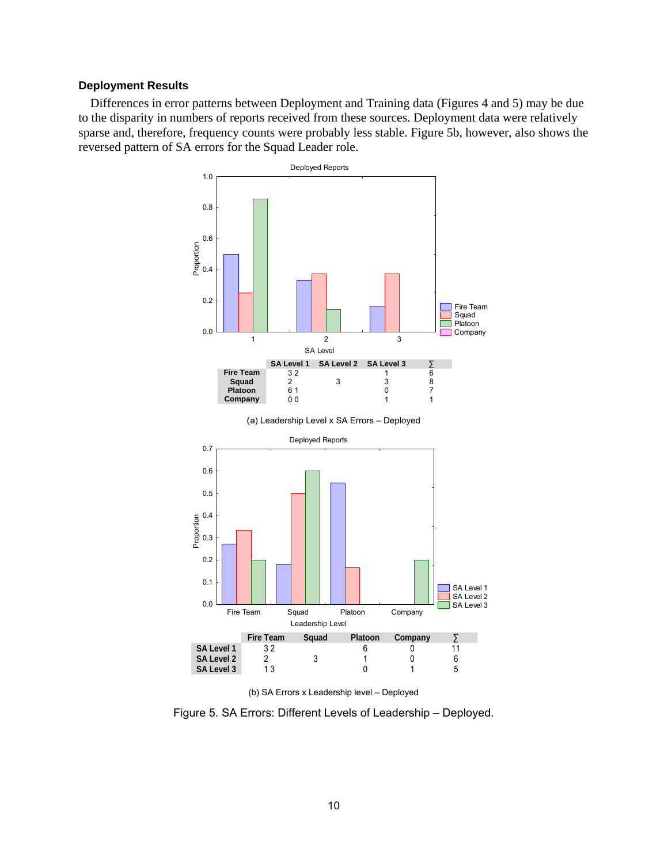#### <span id="page-15-0"></span>**Deployment Results**

Differences in error patterns between Deployment and Training data (Figures 4 and 5) may be due to the disparity in numbers of reports received from these sources. Deployment data were relatively sparse and, therefore, frequency counts were probably less stable. Figure 5b, however, also shows the reversed pattern of SA errors for the Squad Leader role.





Figure 5. SA Errors: Different Levels of Leadership – Deployed.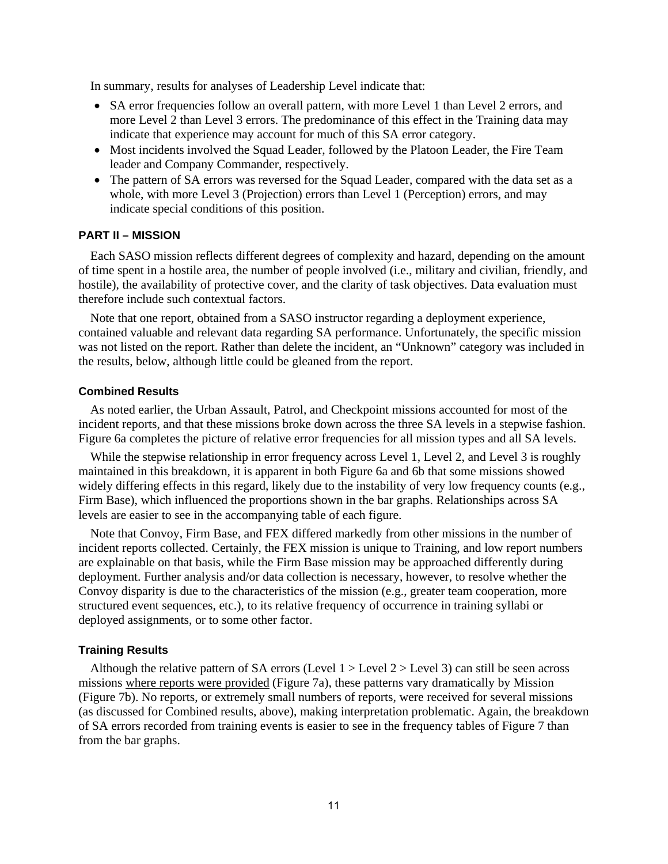<span id="page-16-0"></span>In summary, results for analyses of Leadership Level indicate that:

- SA error frequencies follow an overall pattern, with more Level 1 than Level 2 errors, and more Level 2 than Level 3 errors. The predominance of this effect in the Training data may indicate that experience may account for much of this SA error category.
- Most incidents involved the Squad Leader, followed by the Platoon Leader, the Fire Team leader and Company Commander, respectively.
- The pattern of SA errors was reversed for the Squad Leader, compared with the data set as a whole, with more Level 3 (Projection) errors than Level 1 (Perception) errors, and may indicate special conditions of this position.

#### **PART II – MISSION**

Each SASO mission reflects different degrees of complexity and hazard, depending on the amount of time spent in a hostile area, the number of people involved (i.e., military and civilian, friendly, and hostile), the availability of protective cover, and the clarity of task objectives. Data evaluation must therefore include such contextual factors.

Note that one report, obtained from a SASO instructor regarding a deployment experience, contained valuable and relevant data regarding SA performance. Unfortunately, the specific mission was not listed on the report. Rather than delete the incident, an "Unknown" category was included in the results, below, although little could be gleaned from the report.

#### **Combined Results**

As noted earlier, the Urban Assault, Patrol, and Checkpoint missions accounted for most of the incident reports, and that these missions broke down across the three SA levels in a stepwise fashion. Figure 6a completes the picture of relative error frequencies for all mission types and all SA levels.

While the stepwise relationship in error frequency across Level 1, Level 2, and Level 3 is roughly maintained in this breakdown, it is apparent in both [Figure 6a and 6b](#page-17-1) that some missions showed widely differing effects in this regard, likely due to the instability of very low frequency counts (e.g., Firm Base), which influenced the proportions shown in the bar graphs. Relationships across SA levels are easier to see in the accompanying table of each figure.

Note that Convoy, Firm Base, and FEX differed markedly from other missions in the number of incident reports collected. Certainly, the FEX mission is unique to Training, and low report numbers are explainable on that basis, while the Firm Base mission may be approached differently during deployment. Further analysis and/or data collection is necessary, however, to resolve whether the Convoy disparity is due to the characteristics of the mission (e.g., greater team cooperation, more structured event sequences, etc.), to its relative frequency of occurrence in training syllabi or deployed assignments, or to some other factor.

#### **Training Results**

Although the relative pattern of SA errors (Level  $1 >$  Level  $2 >$  Level 3) can still be seen across missions where reports were provided ([Figure 7a\)](#page-18-1), these patterns vary dramatically by Mission (Figure 7b). No reports, or extremely small numbers of reports, were received for several missions (as discussed for Combined results, above), making interpretation problematic. Again, the breakdown of SA errors recorded from training events is easier to see in the frequency tables of Figure 7 than from the bar graphs.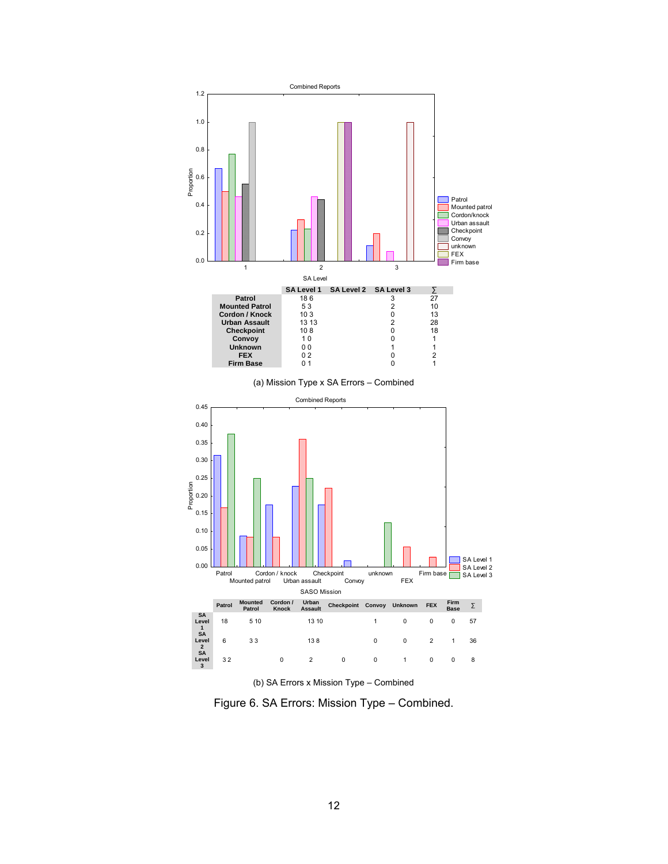<span id="page-17-1"></span><span id="page-17-0"></span>

(b) SA Errors x Mission Type – Combined

Figure 6. SA Errors: Mission Type – Combined.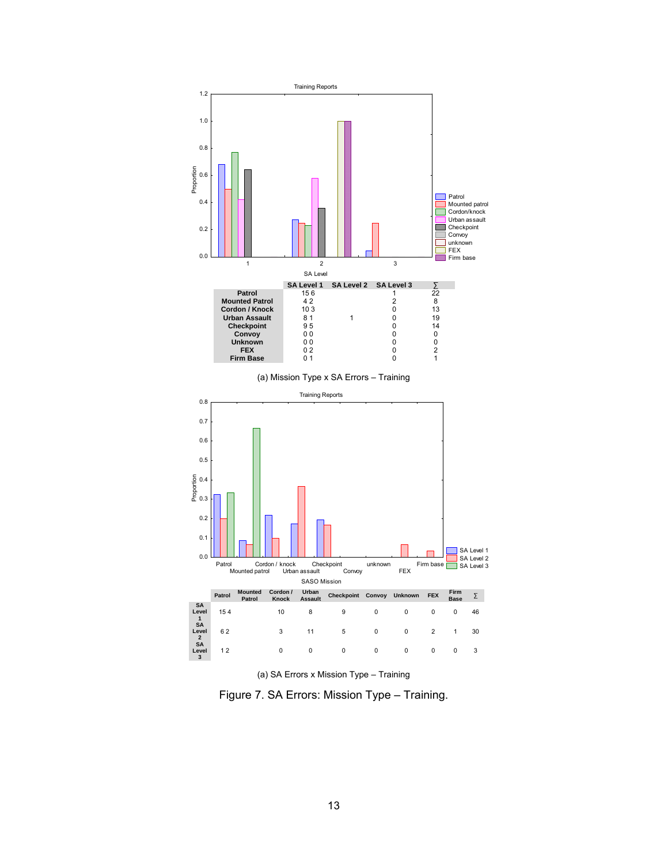<span id="page-18-1"></span><span id="page-18-0"></span>



Figure 7. SA Errors: Mission Type – Training.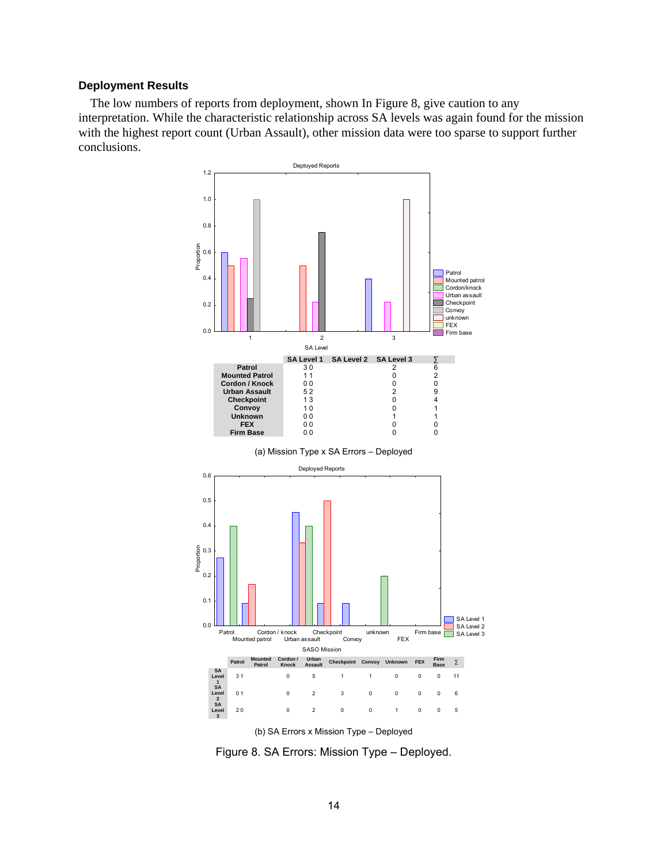#### <span id="page-19-0"></span>**Deployment Results**

The low numbers of reports from deployment, shown In Figure 8, give caution to any interpretation. While the characteristic relationship across SA levels was again found for the mission with the highest report count (Urban Assault), other mission data were too sparse to support further conclusions.



(b) SA Errors x Mission Type – Deployed

Figure 8. SA Errors: Mission Type – Deployed.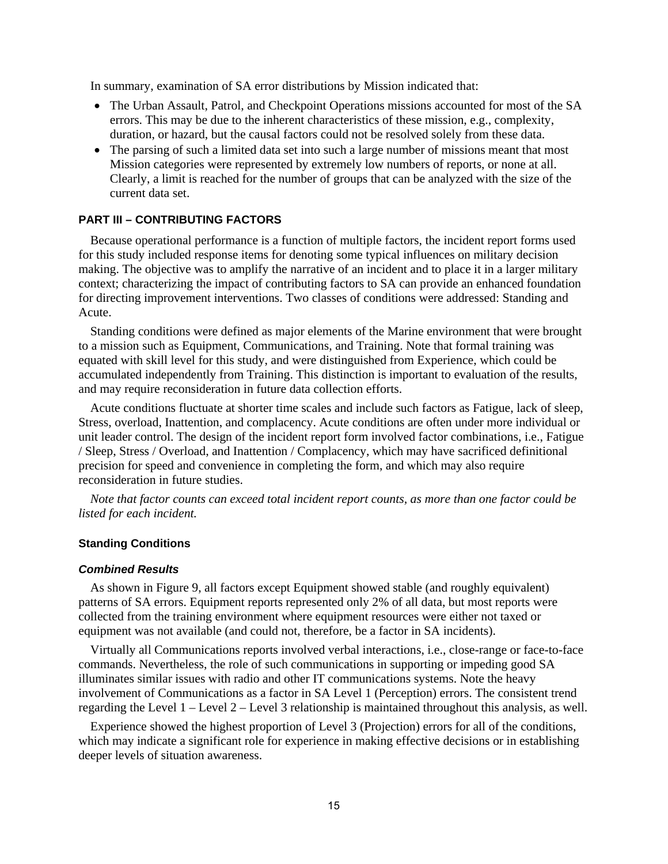<span id="page-20-0"></span>In summary, examination of SA error distributions by Mission indicated that:

- The Urban Assault, Patrol, and Checkpoint Operations missions accounted for most of the SA errors. This may be due to the inherent characteristics of these mission, e.g., complexity, duration, or hazard, but the causal factors could not be resolved solely from these data.
- The parsing of such a limited data set into such a large number of missions meant that most Mission categories were represented by extremely low numbers of reports, or none at all. Clearly, a limit is reached for the number of groups that can be analyzed with the size of the current data set.

#### **PART III – CONTRIBUTING FACTORS**

Because operational performance is a function of multiple factors, the incident report forms used for this study included response items for denoting some typical influences on military decision making. The objective was to amplify the narrative of an incident and to place it in a larger military context; characterizing the impact of contributing factors to SA can provide an enhanced foundation for directing improvement interventions. Two classes of conditions were addressed: Standing and Acute.

Standing conditions were defined as major elements of the Marine environment that were brought to a mission such as Equipment, Communications, and Training. Note that formal training was equated with skill level for this study, and were distinguished from Experience, which could be accumulated independently from Training. This distinction is important to evaluation of the results, and may require reconsideration in future data collection efforts.

Acute conditions fluctuate at shorter time scales and include such factors as Fatigue, lack of sleep, Stress, overload, Inattention, and complacency. Acute conditions are often under more individual or unit leader control. The design of the incident report form involved factor combinations, i.e., Fatigue / Sleep, Stress / Overload, and Inattention / Complacency, which may have sacrificed definitional precision for speed and convenience in completing the form, and which may also require reconsideration in future studies.

*Note that factor counts can exceed total incident report counts, as more than one factor could be listed for each incident.* 

#### **Standing Conditions**

#### *Combined Results*

As shown in [Figure 9,](#page-21-1) all factors except Equipment showed stable (and roughly equivalent) patterns of SA errors. Equipment reports represented only 2% of all data, but most reports were collected from the training environment where equipment resources were either not taxed or equipment was not available (and could not, therefore, be a factor in SA incidents).

Virtually all Communications reports involved verbal interactions, i.e., close-range or face-to-face commands. Nevertheless, the role of such communications in supporting or impeding good SA illuminates similar issues with radio and other IT communications systems. Note the heavy involvement of Communications as a factor in SA Level 1 (Perception) errors. The consistent trend regarding the Level 1 – Level 2 – Level 3 relationship is maintained throughout this analysis, as well.

Experience showed the highest proportion of Level 3 (Projection) errors for all of the conditions, which may indicate a significant role for experience in making effective decisions or in establishing deeper levels of situation awareness.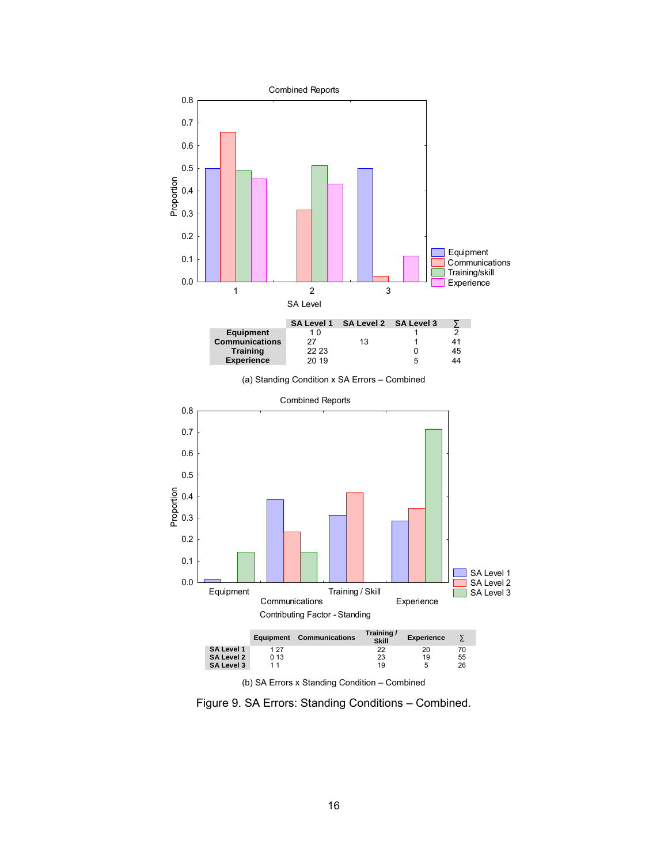<span id="page-21-1"></span><span id="page-21-0"></span>

(a) Standing Condition x SA Errors – Combined



Figure 9. SA Errors: Standing Conditions – Combined.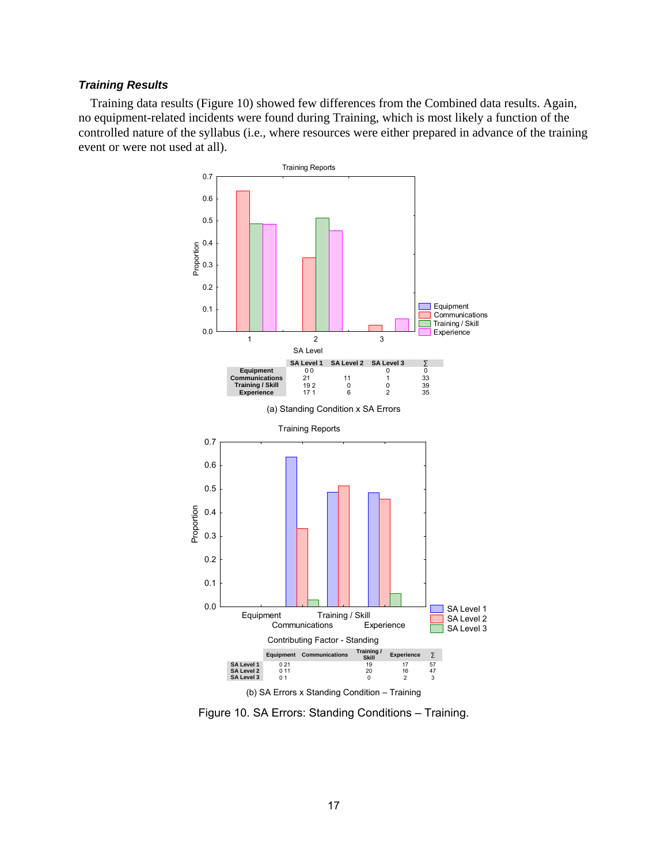#### <span id="page-22-0"></span>*Training Results*

Training data results (Figure 10) showed few differences from the Combined data results. Again, no equipment-related incidents were found during Training, which is most likely a function of the controlled nature of the syllabus (i.e., where resources were either prepared in advance of the training event or were not used at all).



Figure 10. SA Errors: Standing Conditions – Training.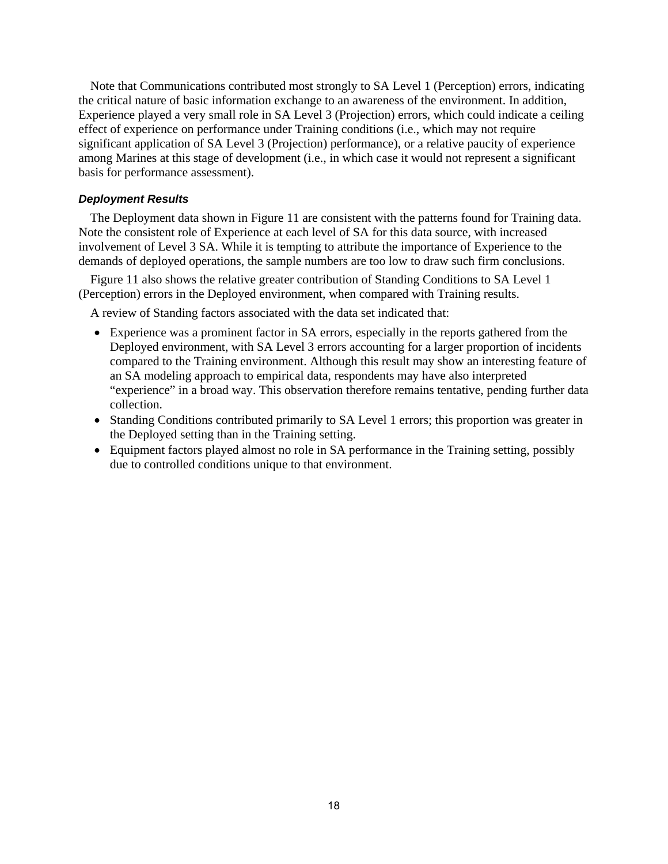<span id="page-23-0"></span>Note that Communications contributed most strongly to SA Level 1 (Perception) errors, indicating the critical nature of basic information exchange to an awareness of the environment. In addition, Experience played a very small role in SA Level 3 (Projection) errors, which could indicate a ceiling effect of experience on performance under Training conditions (i.e., which may not require significant application of SA Level 3 (Projection) performance), or a relative paucity of experience among Marines at this stage of development (i.e., in which case it would not represent a significant basis for performance assessment).

#### *Deployment Results*

The Deployment data shown in [Figure 11](#page-24-1) are consistent with the patterns found for Training data. Note the consistent role of Experience at each level of SA for this data source, with increased involvement of Level 3 SA. While it is tempting to attribute the importance of Experience to the demands of deployed operations, the sample numbers are too low to draw such firm conclusions.

Figure 11 also shows the relative greater contribution of Standing Conditions to SA Level 1 (Perception) errors in the Deployed environment, when compared with Training results.

A review of Standing factors associated with the data set indicated that:

- Experience was a prominent factor in SA errors, especially in the reports gathered from the Deployed environment, with SA Level 3 errors accounting for a larger proportion of incidents compared to the Training environment. Although this result may show an interesting feature of an SA modeling approach to empirical data, respondents may have also interpreted "experience" in a broad way. This observation therefore remains tentative, pending further data collection.
- Standing Conditions contributed primarily to SA Level 1 errors; this proportion was greater in the Deployed setting than in the Training setting.
- Equipment factors played almost no role in SA performance in the Training setting, possibly due to controlled conditions unique to that environment.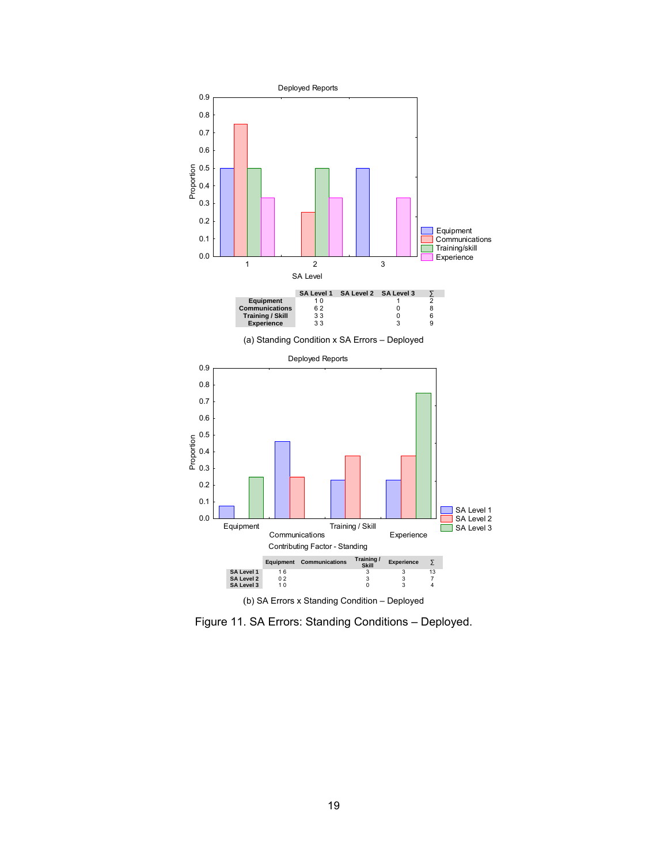<span id="page-24-1"></span><span id="page-24-0"></span>

Figure 11. SA Errors: Standing Conditions – Deployed.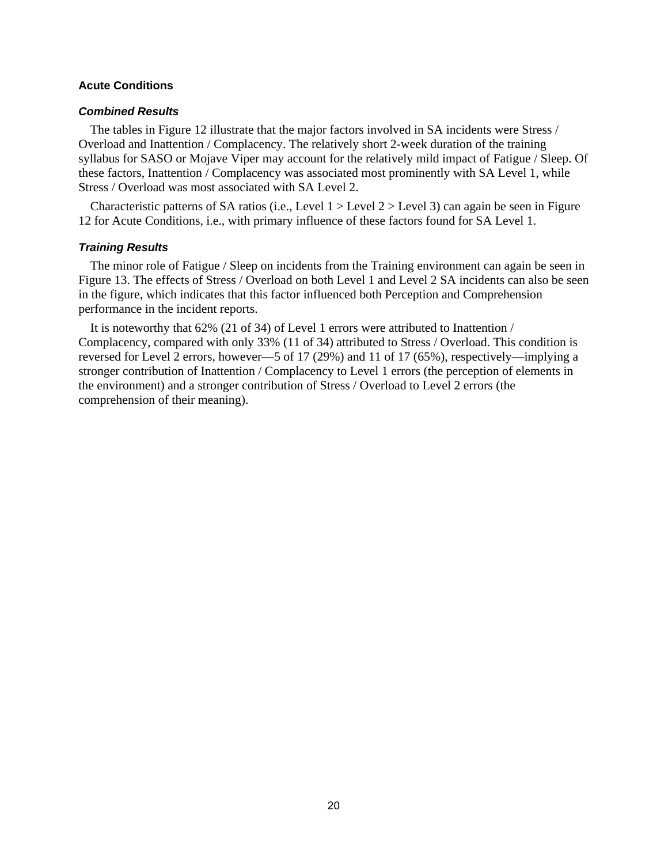#### <span id="page-25-0"></span>**Acute Conditions**

#### *Combined Results*

The tables in [Figure 12](#page-26-1) illustrate that the major factors involved in SA incidents were Stress / Overload and Inattention / Complacency. The relatively short 2-week duration of the training syllabus for SASO or Mojave Viper may account for the relatively mild impact of Fatigue / Sleep. Of these factors, Inattention / Complacency was associated most prominently with SA Level 1, while Stress / Overload was most associated with SA Level 2.

Characteristic patterns of SA ratios (i.e., Level  $1 >$  Level  $2 >$  Level 3) can again be seen in Figure 12 for Acute Conditions, i.e., with primary influence of these factors found for SA Level 1.

#### *Training Results*

The minor role of Fatigue / Sleep on incidents from the Training environment can again be seen in [Figure 13.](#page-27-1) The effects of Stress / Overload on both Level 1 and Level 2 SA incidents can also be seen in the figure, which indicates that this factor influenced both Perception and Comprehension performance in the incident reports.

It is noteworthy that 62% (21 of 34) of Level 1 errors were attributed to Inattention / Complacency, compared with only 33% (11 of 34) attributed to Stress / Overload. This condition is reversed for Level 2 errors, however—5 of 17 (29%) and 11 of 17 (65%), respectively—implying a stronger contribution of Inattention / Complacency to Level 1 errors (the perception of elements in the environment) and a stronger contribution of Stress / Overload to Level 2 errors (the comprehension of their meaning).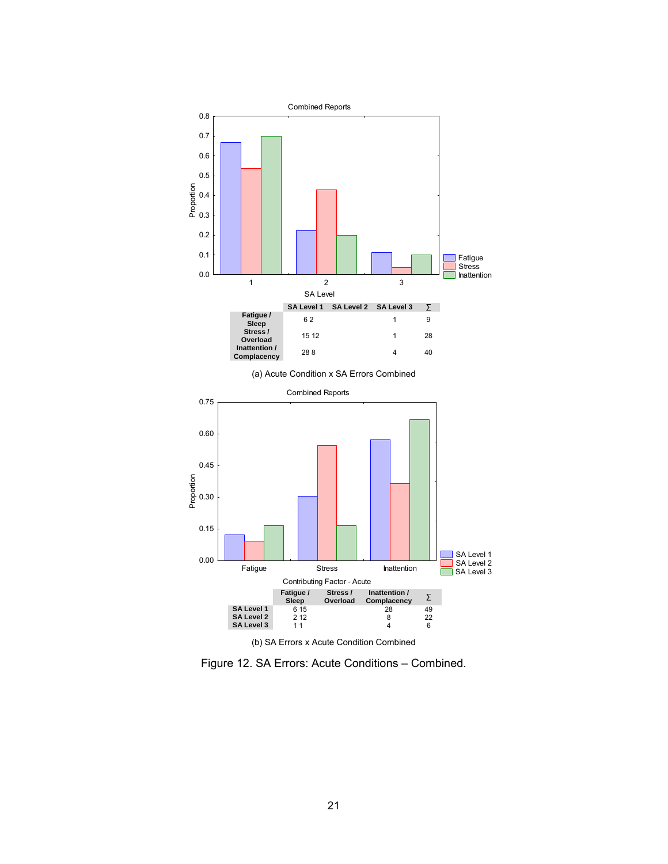<span id="page-26-1"></span><span id="page-26-0"></span>![](_page_26_Figure_0.jpeg)

Figure 12. SA Errors: Acute Conditions – Combined.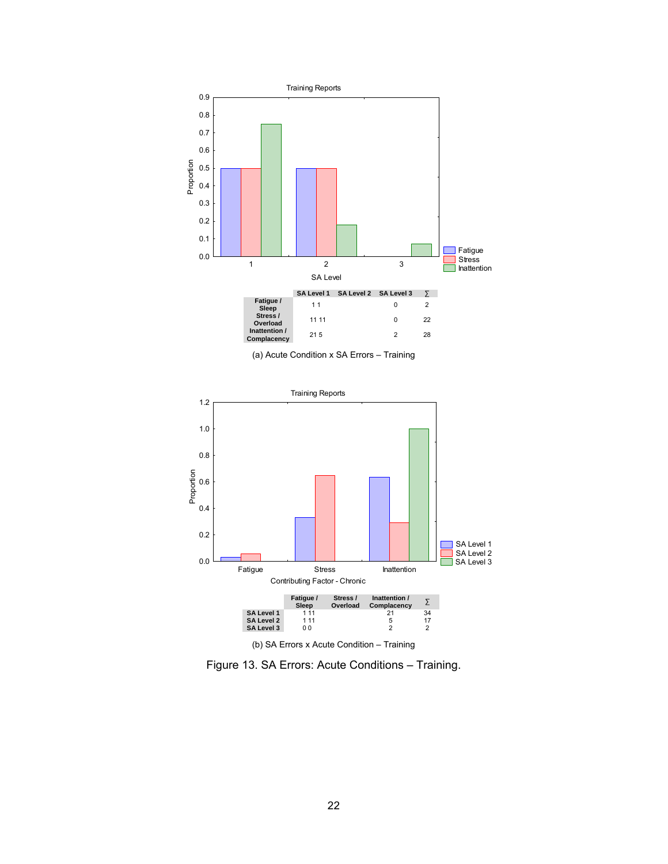<span id="page-27-1"></span><span id="page-27-0"></span>![](_page_27_Figure_0.jpeg)

(a) Acute Condition x SA Errors – Training

![](_page_27_Figure_2.jpeg)

Figure 13. SA Errors: Acute Conditions – Training.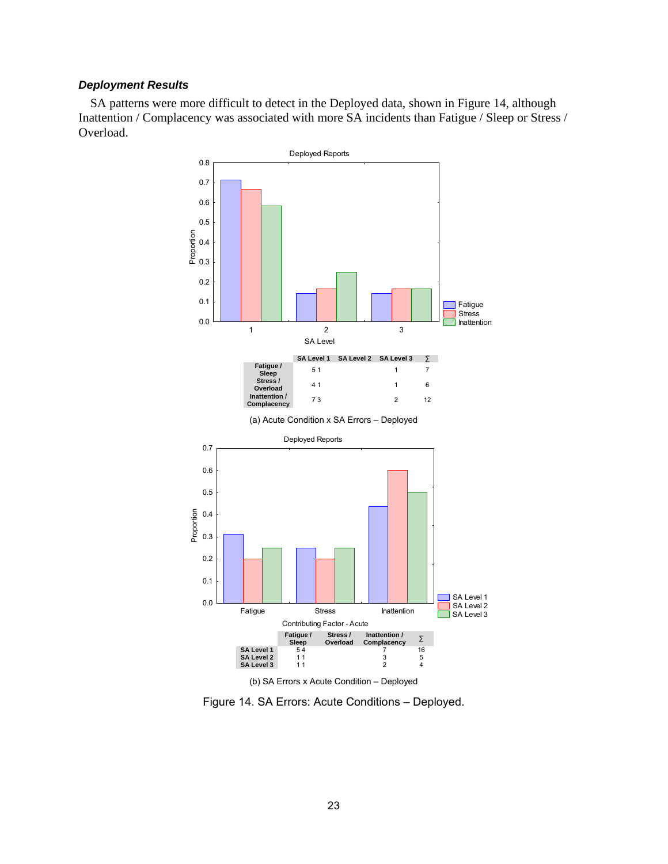#### <span id="page-28-0"></span>*Deployment Results*

SA patterns were more difficult to detect in the Deployed data, shown in Figure 14, although Inattention / Complacency was associated with more SA incidents than Fatigue / Sleep or Stress / Overload.

![](_page_28_Figure_2.jpeg)

Figure 14. SA Errors: Acute Conditions – Deployed.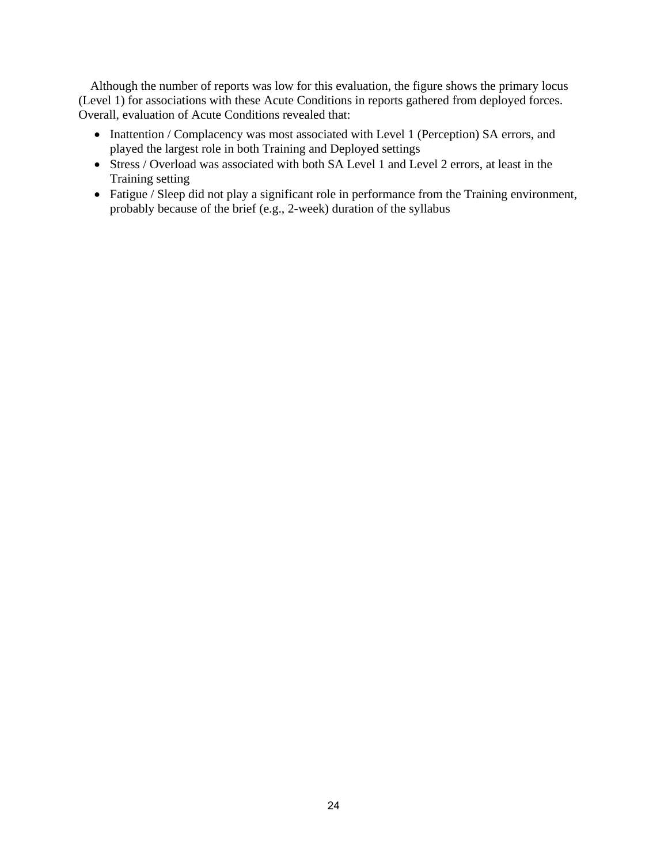Although the number of reports was low for this evaluation, the figure shows the primary locus (Level 1) for associations with these Acute Conditions in reports gathered from deployed forces. Overall, evaluation of Acute Conditions revealed that:

- Inattention / Complacency was most associated with Level 1 (Perception) SA errors, and played the largest role in both Training and Deployed settings
- Stress / Overload was associated with both SA Level 1 and Level 2 errors, at least in the Training setting
- Fatigue / Sleep did not play a significant role in performance from the Training environment, probably because of the brief (e.g., 2-week) duration of the syllabus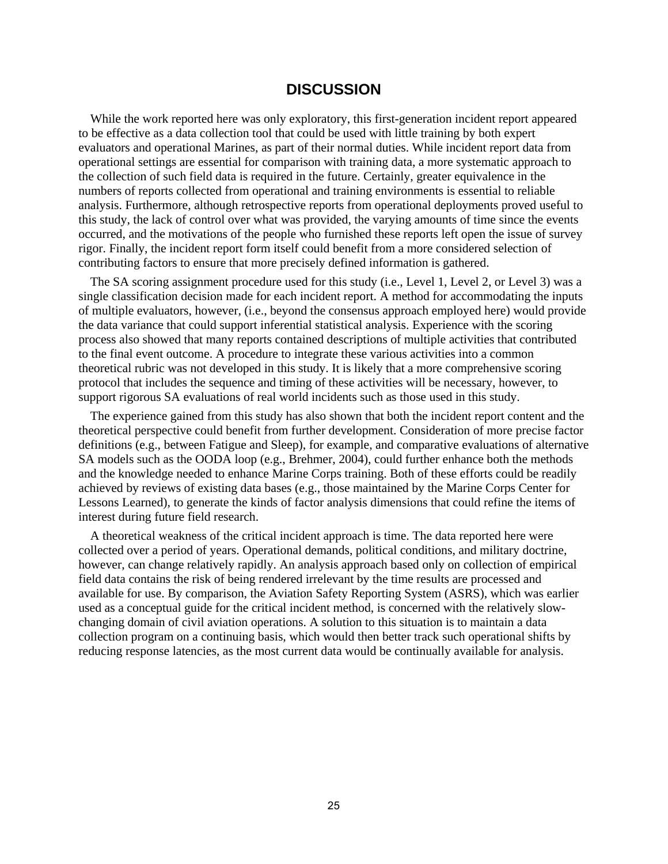### **DISCUSSION**

<span id="page-30-0"></span>While the work reported here was only exploratory, this first-generation incident report appeared to be effective as a data collection tool that could be used with little training by both expert evaluators and operational Marines, as part of their normal duties. While incident report data from operational settings are essential for comparison with training data, a more systematic approach to the collection of such field data is required in the future. Certainly, greater equivalence in the numbers of reports collected from operational and training environments is essential to reliable analysis. Furthermore, although retrospective reports from operational deployments proved useful to this study, the lack of control over what was provided, the varying amounts of time since the events occurred, and the motivations of the people who furnished these reports left open the issue of survey rigor. Finally, the incident report form itself could benefit from a more considered selection of contributing factors to ensure that more precisely defined information is gathered.

The SA scoring assignment procedure used for this study (i.e., Level 1, Level 2, or Level 3) was a single classification decision made for each incident report. A method for accommodating the inputs of multiple evaluators, however, (i.e., beyond the consensus approach employed here) would provide the data variance that could support inferential statistical analysis. Experience with the scoring process also showed that many reports contained descriptions of multiple activities that contributed to the final event outcome. A procedure to integrate these various activities into a common theoretical rubric was not developed in this study. It is likely that a more comprehensive scoring protocol that includes the sequence and timing of these activities will be necessary, however, to support rigorous SA evaluations of real world incidents such as those used in this study.

The experience gained from this study has also shown that both the incident report content and the theoretical perspective could benefit from further development. Consideration of more precise factor definitions (e.g., between Fatigue and Sleep), for example, and comparative evaluations of alternative SA models such as the OODA loop (e.g., Brehmer, 2004), could further enhance both the methods and the knowledge needed to enhance Marine Corps training. Both of these efforts could be readily achieved by reviews of existing data bases (e.g., those maintained by the Marine Corps Center for Lessons Learned), to generate the kinds of factor analysis dimensions that could refine the items of interest during future field research.

A theoretical weakness of the critical incident approach is time. The data reported here were collected over a period of years. Operational demands, political conditions, and military doctrine, however, can change relatively rapidly. An analysis approach based only on collection of empirical field data contains the risk of being rendered irrelevant by the time results are processed and available for use. By comparison, the Aviation Safety Reporting System (ASRS), which was earlier used as a conceptual guide for the critical incident method, is concerned with the relatively slowchanging domain of civil aviation operations. A solution to this situation is to maintain a data collection program on a continuing basis, which would then better track such operational shifts by reducing response latencies, as the most current data would be continually available for analysis.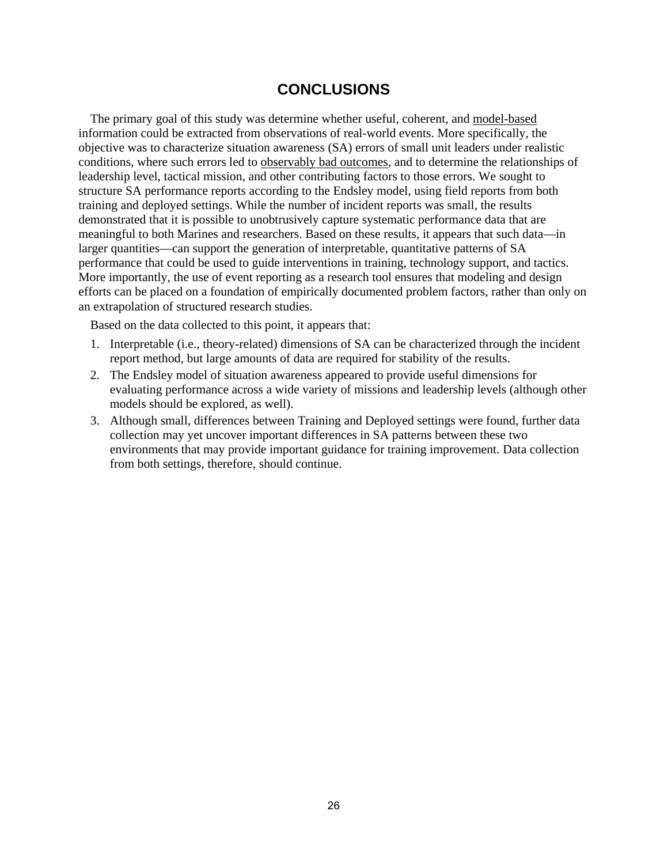## **CONCLUSIONS**

<span id="page-31-0"></span>The primary goal of this study was determine whether useful, coherent, and model-based information could be extracted from observations of real-world events. More specifically, the objective was to characterize situation awareness (SA) errors of small unit leaders under realistic conditions, where such errors led to observably bad outcomes, and to determine the relationships of leadership level, tactical mission, and other contributing factors to those errors. We sought to structure SA performance reports according to the Endsley model, using field reports from both training and deployed settings. While the number of incident reports was small, the results demonstrated that it is possible to unobtrusively capture systematic performance data that are meaningful to both Marines and researchers. Based on these results, it appears that such data—in larger quantities—can support the generation of interpretable, quantitative patterns of SA performance that could be used to guide interventions in training, technology support, and tactics. More importantly, the use of event reporting as a research tool ensures that modeling and design efforts can be placed on a foundation of empirically documented problem factors, rather than only on an extrapolation of structured research studies.

Based on the data collected to this point, it appears that:

- 1. Interpretable (i.e., theory-related) dimensions of SA can be characterized through the incident report method, but large amounts of data are required for stability of the results.
- 2. The Endsley model of situation awareness appeared to provide useful dimensions for evaluating performance across a wide variety of missions and leadership levels (although other models should be explored, as well).
- 3. Although small, differences between Training and Deployed settings were found, further data collection may yet uncover important differences in SA patterns between these two environments that may provide important guidance for training improvement. Data collection from both settings, therefore, should continue.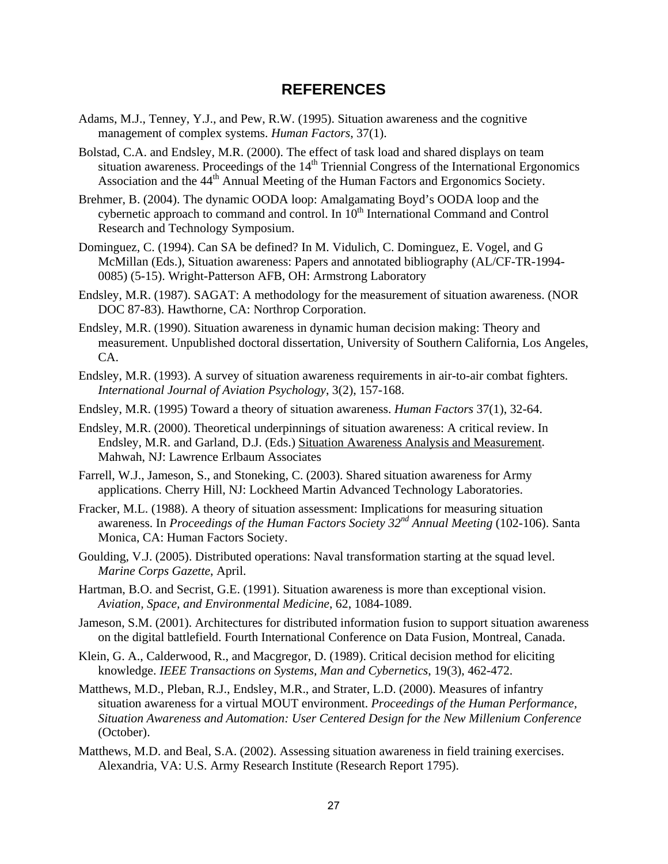### **REFERENCES**

- <span id="page-32-0"></span>Adams, M.J., Tenney, Y.J., and Pew, R.W. (1995). Situation awareness and the cognitive management of complex systems. *Human Factors*, 37(1).
- Bolstad, C.A. and Endsley, M.R. (2000). The effect of task load and shared displays on team situation awareness. Proceedings of the 14<sup>th</sup> Triennial Congress of the International Ergonomics Association and the 44<sup>th</sup> Annual Meeting of the Human Factors and Ergonomics Society.
- Brehmer, B. (2004). The dynamic OODA loop: Amalgamating Boyd's OODA loop and the cybernetic approach to command and control. In  $10<sup>th</sup>$  International Command and Control Research and Technology Symposium.
- Dominguez, C. (1994). Can SA be defined? In M. Vidulich, C. Dominguez, E. Vogel, and G McMillan (Eds.), Situation awareness: Papers and annotated bibliography (AL/CF-TR-1994- 0085) (5-15). Wright-Patterson AFB, OH: Armstrong Laboratory
- Endsley, M.R. (1987). SAGAT: A methodology for the measurement of situation awareness. (NOR DOC 87-83). Hawthorne, CA: Northrop Corporation.
- Endsley, M.R. (1990). Situation awareness in dynamic human decision making: Theory and measurement. Unpublished doctoral dissertation, University of Southern California, Los Angeles, CA.
- Endsley, M.R. (1993). A survey of situation awareness requirements in air-to-air combat fighters. *International Journal of Aviation Psychology*, 3(2), 157-168.
- Endsley, M.R. (1995) Toward a theory of situation awareness. *Human Factors* 37(1), 32-64.
- Endsley, M.R. (2000). Theoretical underpinnings of situation awareness: A critical review. In Endsley, M.R. and Garland, D.J. (Eds.) Situation Awareness Analysis and Measurement. Mahwah, NJ: Lawrence Erlbaum Associates
- Farrell, W.J., Jameson, S., and Stoneking, C. (2003). Shared situation awareness for Army applications. Cherry Hill, NJ: Lockheed Martin Advanced Technology Laboratories.
- Fracker, M.L. (1988). A theory of situation assessment: Implications for measuring situation awareness. In *Proceedings of the Human Factors Society 32nd Annual Meeting* (102-106). Santa Monica, CA: Human Factors Society.
- Goulding, V.J. (2005). Distributed operations: Naval transformation starting at the squad level. *Marine Corps Gazette*, April.
- Hartman, B.O. and Secrist, G.E. (1991). Situation awareness is more than exceptional vision. *Aviation, Space, and Environmental Medicine*, 62, 1084-1089.
- Jameson, S.M. (2001). Architectures for distributed information fusion to support situation awareness on the digital battlefield. Fourth International Conference on Data Fusion, Montreal, Canada.
- Klein, G. A., Calderwood, R., and Macgregor, D. (1989). Critical decision method for eliciting knowledge. *IEEE Transactions on Systems, Man and Cybernetics*, 19(3), 462-472.
- Matthews, M.D., Pleban, R.J., Endsley, M.R., and Strater, L.D. (2000). Measures of infantry situation awareness for a virtual MOUT environment. *Proceedings of the Human Performance, Situation Awareness and Automation: User Centered Design for the New Millenium Conference* (October).
- Matthews, M.D. and Beal, S.A. (2002). Assessing situation awareness in field training exercises. Alexandria, VA: U.S. Army Research Institute (Research Report 1795).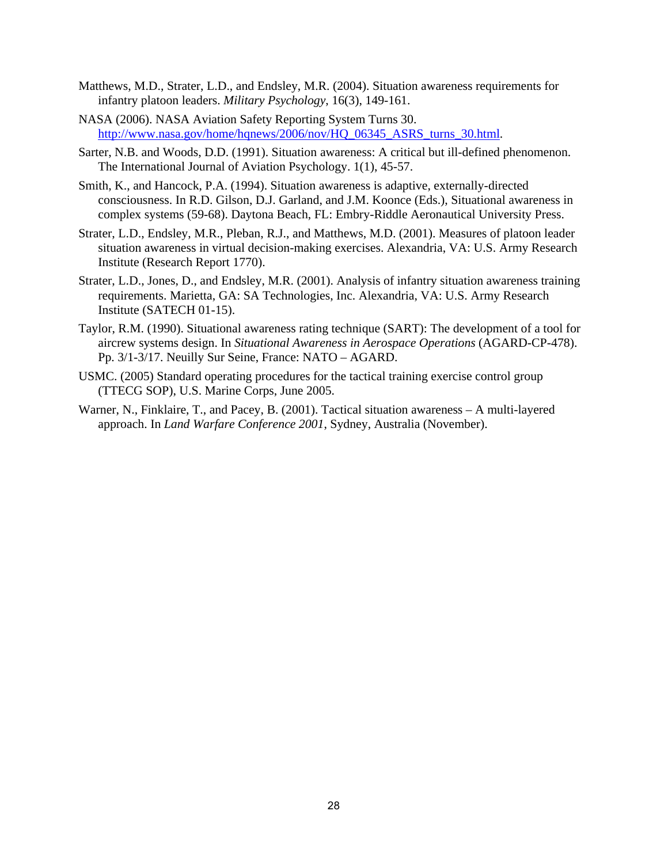- Matthews, M.D., Strater, L.D., and Endsley, M.R. (2004). Situation awareness requirements for infantry platoon leaders. *Military Psychology*, 16(3), 149-161.
- NASA (2006). NASA Aviation Safety Reporting System Turns 30. [http://www.nasa.gov/home/hqnews/2006/nov/HQ\\_06345\\_ASRS\\_turns\\_30.html](http://www.nasa.gov/home/hqnews/2006/nov/HQ_06345_ASRS_turns_30.html).
- Sarter, N.B. and Woods, D.D. (1991). Situation awareness: A critical but ill-defined phenomenon. The International Journal of Aviation Psychology. 1(1), 45-57.
- Smith, K., and Hancock, P.A. (1994). Situation awareness is adaptive, externally-directed consciousness. In R.D. Gilson, D.J. Garland, and J.M. Koonce (Eds.), Situational awareness in complex systems (59-68). Daytona Beach, FL: Embry-Riddle Aeronautical University Press.
- Strater, L.D., Endsley, M.R., Pleban, R.J., and Matthews, M.D. (2001). Measures of platoon leader situation awareness in virtual decision-making exercises. Alexandria, VA: U.S. Army Research Institute (Research Report 1770).
- Strater, L.D., Jones, D., and Endsley, M.R. (2001). Analysis of infantry situation awareness training requirements. Marietta, GA: SA Technologies, Inc. Alexandria, VA: U.S. Army Research Institute (SATECH 01-15).
- Taylor, R.M. (1990). Situational awareness rating technique (SART): The development of a tool for aircrew systems design. In *Situational Awareness in Aerospace Operations* (AGARD-CP-478). Pp. 3/1-3/17. Neuilly Sur Seine, France: NATO – AGARD.
- USMC. (2005) Standard operating procedures for the tactical training exercise control group (TTECG SOP), U.S. Marine Corps, June 2005.
- Warner, N., Finklaire, T., and Pacey, B. (2001). Tactical situation awareness A multi-layered approach. In *Land Warfare Conference 2001*, Sydney, Australia (November).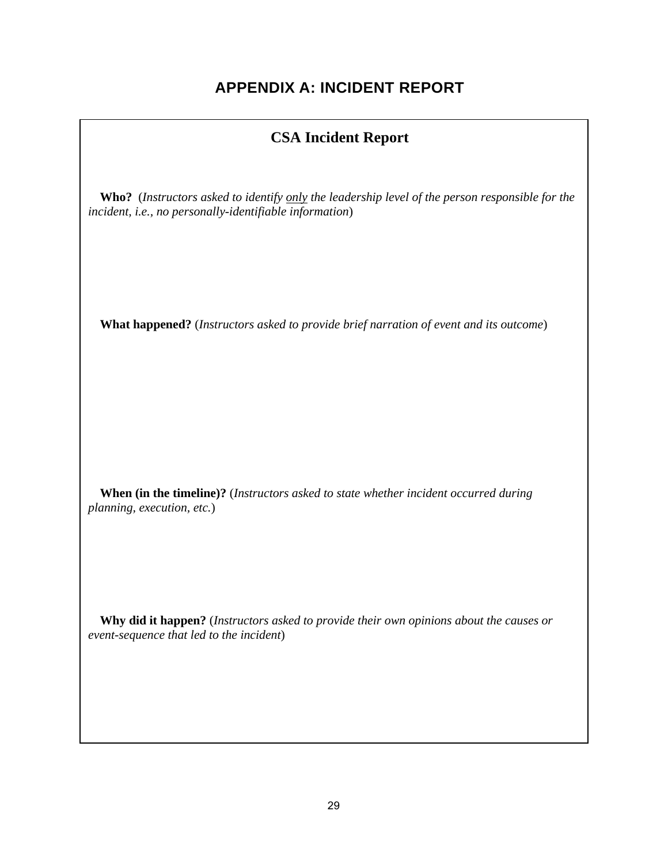## **APPENDIX A: INCIDENT REPORT**

## **CSA Incident Report**

<span id="page-34-0"></span>**Who?** (*Instructors asked to identify only the leadership level of the person responsible for the incident, i.e., no personally-identifiable information*)

**What happened?** (*Instructors asked to provide brief narration of event and its outcome*)

**When (in the timeline)?** (*Instructors asked to state whether incident occurred during planning, execution, etc.*)

**Why did it happen?** (*Instructors asked to provide their own opinions about the causes or event-sequence that led to the incident*)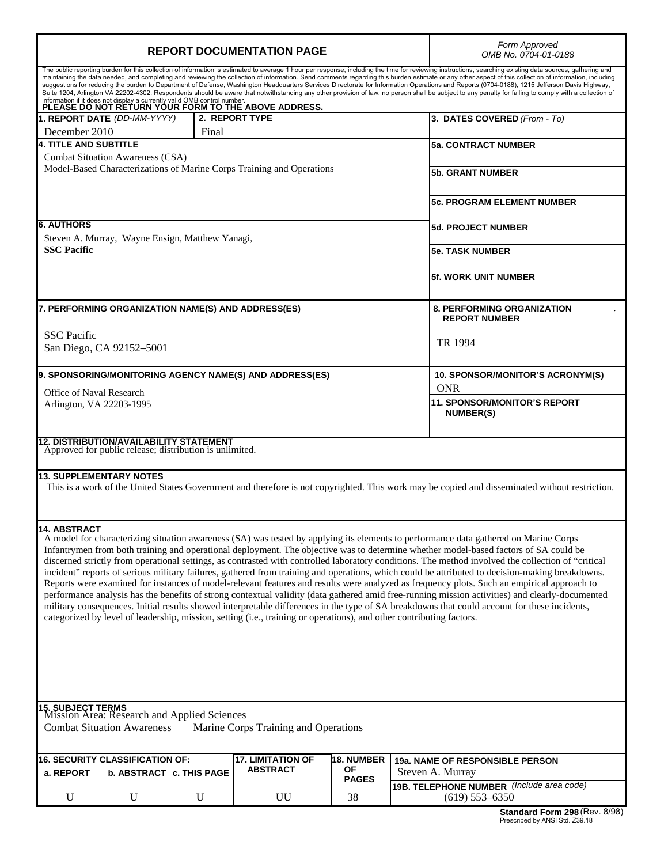| <b>REPORT DOCUMENTATION PAGE</b>                                                                                                                                                                                                                                                                                                                                                                                                                                                                                                                                                                                                                                                                                                                                                                                                                                                                                                                                                                                                                                                                                                                                               |                                                                                                           | Form Approved<br>OMB No. 0704-01-0188 |                                                         |                                                               |
|--------------------------------------------------------------------------------------------------------------------------------------------------------------------------------------------------------------------------------------------------------------------------------------------------------------------------------------------------------------------------------------------------------------------------------------------------------------------------------------------------------------------------------------------------------------------------------------------------------------------------------------------------------------------------------------------------------------------------------------------------------------------------------------------------------------------------------------------------------------------------------------------------------------------------------------------------------------------------------------------------------------------------------------------------------------------------------------------------------------------------------------------------------------------------------|-----------------------------------------------------------------------------------------------------------|---------------------------------------|---------------------------------------------------------|---------------------------------------------------------------|
| The public reporting burden for this collection of information is estimated to average 1 hour per response, including the time for reviewing instructions, searching existing data sources, gathering and<br>maintaining the data needed, and completing and reviewing the collection of information. Send comments regarding this burden estimate or any other aspect of this collection of information, including<br>suggestions for reducing the burden to Department of Defense, Washington Headquarters Services Directorate for Information Operations and Reports (0704-0188), 1215 Jefferson Davis Highway,<br>Suite 1204, Arlington VA 22202-4302. Respondents should be aware that notwithstanding any other provision of law, no person shall be subject to any penalty for failing to comply with a collection of<br>information if it does not display a currently valid OMB control number.<br>PLEASE DO NOT RETURN YOUR FORM TO THE ABOVE ADDRESS.                                                                                                                                                                                                              |                                                                                                           |                                       |                                                         |                                                               |
| 1. REPORT DATE (DD-MM-YYYY)                                                                                                                                                                                                                                                                                                                                                                                                                                                                                                                                                                                                                                                                                                                                                                                                                                                                                                                                                                                                                                                                                                                                                    |                                                                                                           | 2. REPORT TYPE                        |                                                         | 3. DATES COVERED (From - To)                                  |
| December 2010<br><b>4. TITLE AND SUBTITLE</b>                                                                                                                                                                                                                                                                                                                                                                                                                                                                                                                                                                                                                                                                                                                                                                                                                                                                                                                                                                                                                                                                                                                                  | Final                                                                                                     |                                       |                                                         | <b>5a. CONTRACT NUMBER</b>                                    |
| <b>Combat Situation Awareness (CSA)</b>                                                                                                                                                                                                                                                                                                                                                                                                                                                                                                                                                                                                                                                                                                                                                                                                                                                                                                                                                                                                                                                                                                                                        |                                                                                                           |                                       |                                                         |                                                               |
| Model-Based Characterizations of Marine Corps Training and Operations                                                                                                                                                                                                                                                                                                                                                                                                                                                                                                                                                                                                                                                                                                                                                                                                                                                                                                                                                                                                                                                                                                          |                                                                                                           |                                       | <b>5b. GRANT NUMBER</b>                                 |                                                               |
|                                                                                                                                                                                                                                                                                                                                                                                                                                                                                                                                                                                                                                                                                                                                                                                                                                                                                                                                                                                                                                                                                                                                                                                |                                                                                                           |                                       | <b>5c. PROGRAM ELEMENT NUMBER</b>                       |                                                               |
| <b>6. AUTHORS</b>                                                                                                                                                                                                                                                                                                                                                                                                                                                                                                                                                                                                                                                                                                                                                                                                                                                                                                                                                                                                                                                                                                                                                              |                                                                                                           |                                       |                                                         | <b>5d. PROJECT NUMBER</b>                                     |
| Steven A. Murray, Wayne Ensign, Matthew Yanagi,<br><b>SSC Pacific</b>                                                                                                                                                                                                                                                                                                                                                                                                                                                                                                                                                                                                                                                                                                                                                                                                                                                                                                                                                                                                                                                                                                          |                                                                                                           |                                       |                                                         | <b>5e. TASK NUMBER</b>                                        |
|                                                                                                                                                                                                                                                                                                                                                                                                                                                                                                                                                                                                                                                                                                                                                                                                                                                                                                                                                                                                                                                                                                                                                                                |                                                                                                           |                                       |                                                         | <b>5f. WORK UNIT NUMBER</b>                                   |
| 7. PERFORMING ORGANIZATION NAME(S) AND ADDRESS(ES)                                                                                                                                                                                                                                                                                                                                                                                                                                                                                                                                                                                                                                                                                                                                                                                                                                                                                                                                                                                                                                                                                                                             |                                                                                                           |                                       |                                                         | <b>8. PERFORMING ORGANIZATION</b><br><b>REPORT NUMBER</b>     |
| <b>SSC</b> Pacific<br>San Diego, CA 92152-5001                                                                                                                                                                                                                                                                                                                                                                                                                                                                                                                                                                                                                                                                                                                                                                                                                                                                                                                                                                                                                                                                                                                                 |                                                                                                           |                                       | TR 1994                                                 |                                                               |
| 9. SPONSORING/MONITORING AGENCY NAME(S) AND ADDRESS(ES)                                                                                                                                                                                                                                                                                                                                                                                                                                                                                                                                                                                                                                                                                                                                                                                                                                                                                                                                                                                                                                                                                                                        |                                                                                                           |                                       |                                                         | 10. SPONSOR/MONITOR'S ACRONYM(S)                              |
| Office of Naval Research                                                                                                                                                                                                                                                                                                                                                                                                                                                                                                                                                                                                                                                                                                                                                                                                                                                                                                                                                                                                                                                                                                                                                       |                                                                                                           |                                       |                                                         | <b>ONR</b>                                                    |
| Arlington, VA 22203-1995                                                                                                                                                                                                                                                                                                                                                                                                                                                                                                                                                                                                                                                                                                                                                                                                                                                                                                                                                                                                                                                                                                                                                       |                                                                                                           |                                       | <b>11. SPONSOR/MONITOR'S REPORT</b><br><b>NUMBER(S)</b> |                                                               |
|                                                                                                                                                                                                                                                                                                                                                                                                                                                                                                                                                                                                                                                                                                                                                                                                                                                                                                                                                                                                                                                                                                                                                                                | <b>12. DISTRIBUTION/AVAILABILITY STATEMENT</b><br>Approved for public release; distribution is unlimited. |                                       |                                                         |                                                               |
| <b>13. SUPPLEMENTARY NOTES</b><br>This is a work of the United States Government and therefore is not copyrighted. This work may be copied and disseminated without restriction.                                                                                                                                                                                                                                                                                                                                                                                                                                                                                                                                                                                                                                                                                                                                                                                                                                                                                                                                                                                               |                                                                                                           |                                       |                                                         |                                                               |
| 14. ABSTRACT<br>A model for characterizing situation awareness (SA) was tested by applying its elements to performance data gathered on Marine Corps<br>Infantrymen from both training and operational deployment. The objective was to determine whether model-based factors of SA could be<br>discerned strictly from operational settings, as contrasted with controlled laboratory conditions. The method involved the collection of "critical<br>incident" reports of serious military failures, gathered from training and operations, which could be attributed to decision-making breakdowns.<br>Reports were examined for instances of model-relevant features and results were analyzed as frequency plots. Such an empirical approach to<br>performance analysis has the benefits of strong contextual validity (data gathered amid free-running mission activities) and clearly-documented<br>military consequences. Initial results showed interpretable differences in the type of SA breakdowns that could account for these incidents,<br>categorized by level of leadership, mission, setting (i.e., training or operations), and other contributing factors. |                                                                                                           |                                       |                                                         |                                                               |
| <b>15. SUBJECT TERMS</b><br>Mission Area: Research and Applied Sciences<br><b>Combat Situation Awareness</b><br>Marine Corps Training and Operations                                                                                                                                                                                                                                                                                                                                                                                                                                                                                                                                                                                                                                                                                                                                                                                                                                                                                                                                                                                                                           |                                                                                                           |                                       |                                                         |                                                               |
| 16. SECURITY CLASSIFICATION OF:                                                                                                                                                                                                                                                                                                                                                                                                                                                                                                                                                                                                                                                                                                                                                                                                                                                                                                                                                                                                                                                                                                                                                |                                                                                                           | <b>17. LIMITATION OF</b>              | <b>18. NUMBER</b>                                       | 19a. NAME OF RESPONSIBLE PERSON                               |
| b. ABSTRACT c. THIS PAGE<br>a. REPORT                                                                                                                                                                                                                                                                                                                                                                                                                                                                                                                                                                                                                                                                                                                                                                                                                                                                                                                                                                                                                                                                                                                                          |                                                                                                           | <b>ABSTRACT</b>                       | ΟF                                                      | Steven A. Murray                                              |
| U<br>U                                                                                                                                                                                                                                                                                                                                                                                                                                                                                                                                                                                                                                                                                                                                                                                                                                                                                                                                                                                                                                                                                                                                                                         | $\mathbf U$                                                                                               | UU                                    | <b>PAGES</b><br>38                                      | 19B. TELEPHONE NUMBER (Include area code)<br>$(619)$ 553-6350 |
|                                                                                                                                                                                                                                                                                                                                                                                                                                                                                                                                                                                                                                                                                                                                                                                                                                                                                                                                                                                                                                                                                                                                                                                |                                                                                                           |                                       |                                                         | Standard Form 298 (Rev. 8/98)                                 |

**Standard Form 298** (Rev. 8/98) Prescribed by ANSI Std. Z39.18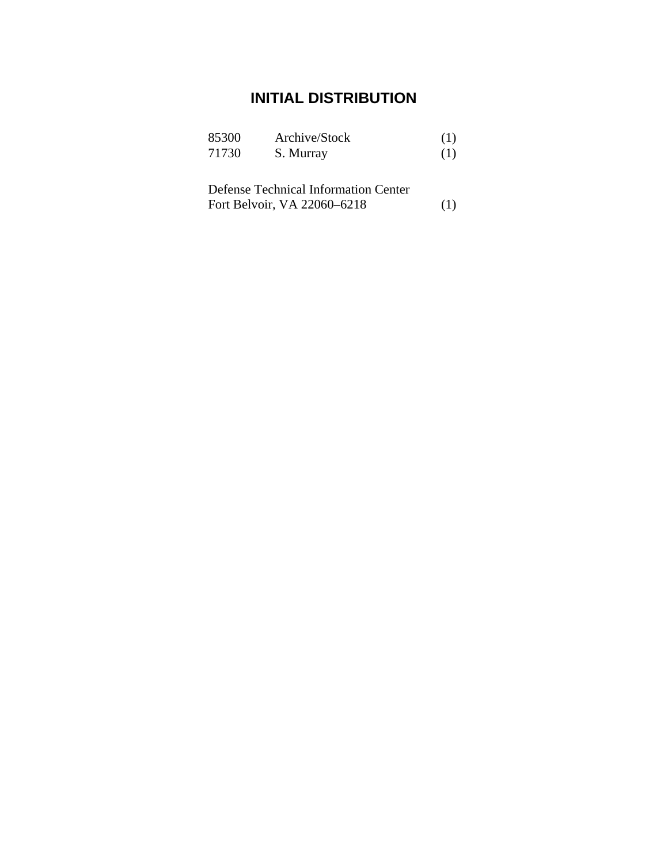## **INITIAL DISTRIBUTION**

| 85300 | Archive/Stock | (1) |
|-------|---------------|-----|
| 71730 | S. Murray     | (1) |

| Defense Technical Information Center |     |
|--------------------------------------|-----|
| Fort Belvoir, VA 22060–6218          | (1) |